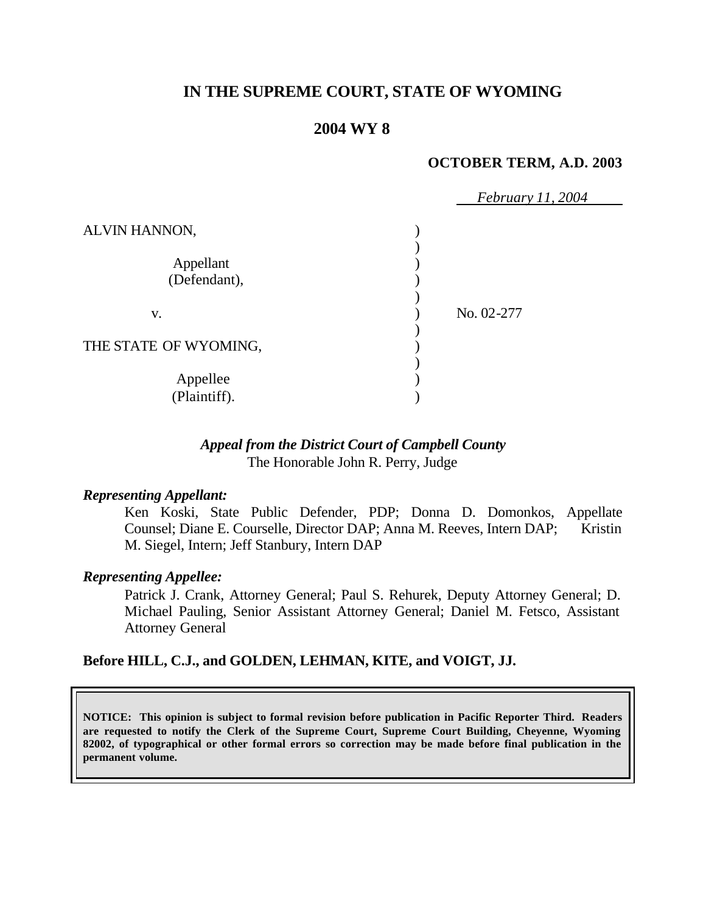# **IN THE SUPREME COURT, STATE OF WYOMING**

## **2004 WY 8**

#### **OCTOBER TERM, A.D. 2003**

|                           | <i>February 11, 2004</i> |
|---------------------------|--------------------------|
| ALVIN HANNON,             |                          |
| Appellant<br>(Defendant), |                          |
| V.                        | No. 02-277               |
| THE STATE OF WYOMING,     |                          |
| Appellee<br>(Plaintiff).  |                          |

## *Appeal from the District Court of Campbell County* The Honorable John R. Perry, Judge

#### *Representing Appellant:*

Ken Koski, State Public Defender, PDP; Donna D. Domonkos, Appellate Counsel; Diane E. Courselle, Director DAP; Anna M. Reeves, Intern DAP; Kristin M. Siegel, Intern; Jeff Stanbury, Intern DAP

#### *Representing Appellee:*

Patrick J. Crank, Attorney General; Paul S. Rehurek, Deputy Attorney General; D. Michael Pauling, Senior Assistant Attorney General; Daniel M. Fetsco, Assistant Attorney General

#### **Before HILL, C.J., and GOLDEN, LEHMAN, KITE, and VOIGT, JJ.**

**NOTICE: This opinion is subject to formal revision before publication in Pacific Reporter Third. Readers are requested to notify the Clerk of the Supreme Court, Supreme Court Building, Cheyenne, Wyoming 82002, of typographical or other formal errors so correction may be made before final publication in the permanent volume.**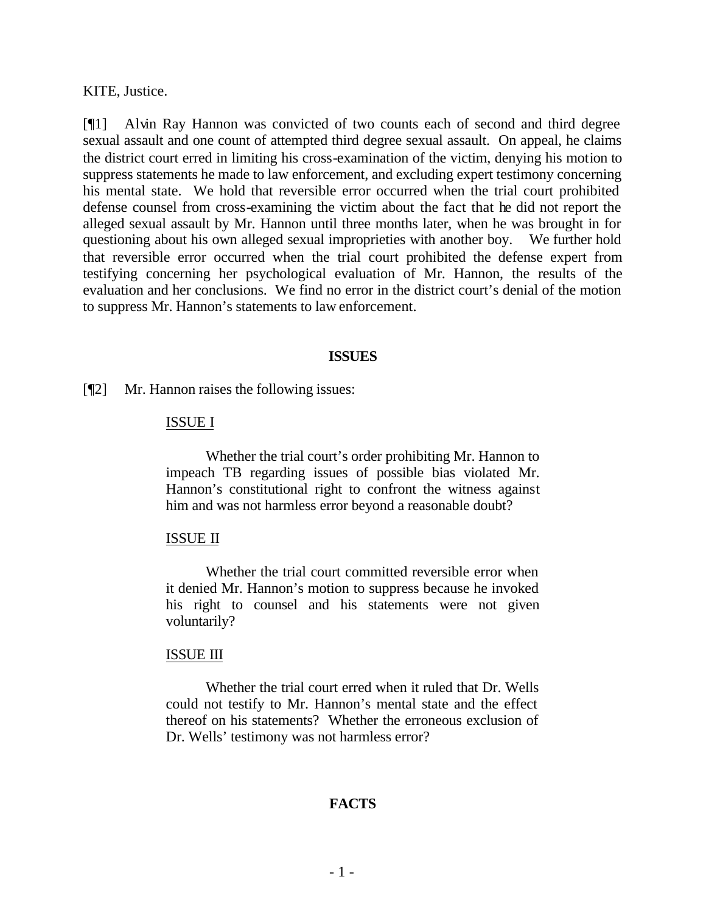KITE, Justice.

[¶1] Alvin Ray Hannon was convicted of two counts each of second and third degree sexual assault and one count of attempted third degree sexual assault. On appeal, he claims the district court erred in limiting his cross-examination of the victim, denying his motion to suppress statements he made to law enforcement, and excluding expert testimony concerning his mental state. We hold that reversible error occurred when the trial court prohibited defense counsel from cross-examining the victim about the fact that he did not report the alleged sexual assault by Mr. Hannon until three months later, when he was brought in for questioning about his own alleged sexual improprieties with another boy. We further hold that reversible error occurred when the trial court prohibited the defense expert from testifying concerning her psychological evaluation of Mr. Hannon, the results of the evaluation and her conclusions. We find no error in the district court's denial of the motion to suppress Mr. Hannon's statements to law enforcement.

#### **ISSUES**

[¶2] Mr. Hannon raises the following issues:

#### ISSUE I

Whether the trial court's order prohibiting Mr. Hannon to impeach TB regarding issues of possible bias violated Mr. Hannon's constitutional right to confront the witness against him and was not harmless error beyond a reasonable doubt?

#### ISSUE II

Whether the trial court committed reversible error when it denied Mr. Hannon's motion to suppress because he invoked his right to counsel and his statements were not given voluntarily?

#### ISSUE III

Whether the trial court erred when it ruled that Dr. Wells could not testify to Mr. Hannon's mental state and the effect thereof on his statements? Whether the erroneous exclusion of Dr. Wells' testimony was not harmless error?

#### **FACTS**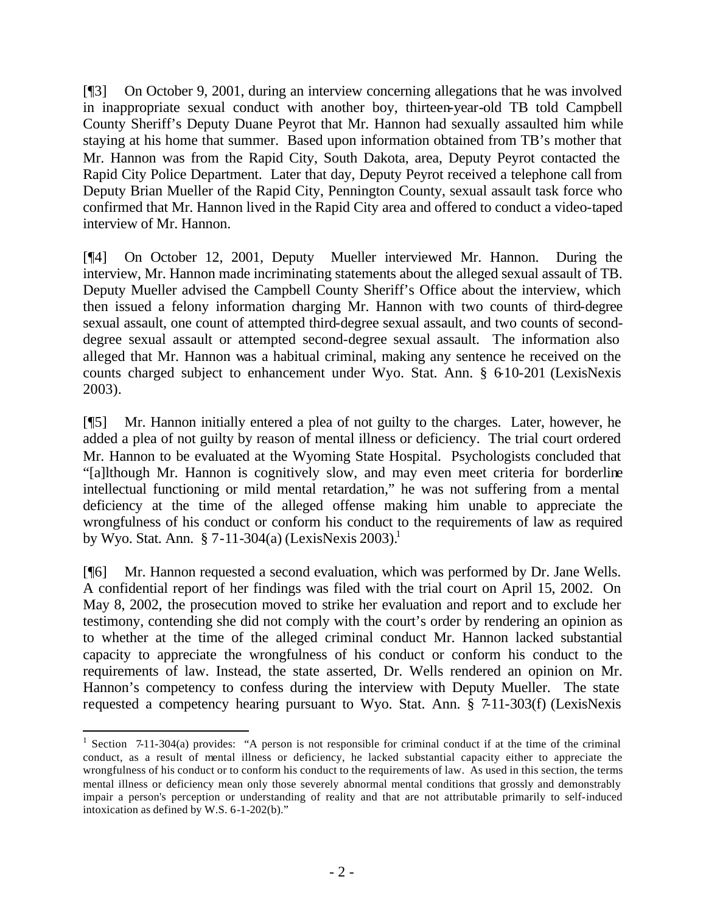[¶3] On October 9, 2001, during an interview concerning allegations that he was involved in inappropriate sexual conduct with another boy, thirteen-year-old TB told Campbell County Sheriff's Deputy Duane Peyrot that Mr. Hannon had sexually assaulted him while staying at his home that summer. Based upon information obtained from TB's mother that Mr. Hannon was from the Rapid City, South Dakota, area, Deputy Peyrot contacted the Rapid City Police Department. Later that day, Deputy Peyrot received a telephone call from Deputy Brian Mueller of the Rapid City, Pennington County, sexual assault task force who confirmed that Mr. Hannon lived in the Rapid City area and offered to conduct a video-taped interview of Mr. Hannon.

[¶4] On October 12, 2001, Deputy Mueller interviewed Mr. Hannon. During the interview, Mr. Hannon made incriminating statements about the alleged sexual assault of TB. Deputy Mueller advised the Campbell County Sheriff's Office about the interview, which then issued a felony information charging Mr. Hannon with two counts of third-degree sexual assault, one count of attempted third-degree sexual assault, and two counts of seconddegree sexual assault or attempted second-degree sexual assault. The information also alleged that Mr. Hannon was a habitual criminal, making any sentence he received on the counts charged subject to enhancement under Wyo. Stat. Ann. § 6-10-201 (LexisNexis 2003).

[¶5] Mr. Hannon initially entered a plea of not guilty to the charges. Later, however, he added a plea of not guilty by reason of mental illness or deficiency. The trial court ordered Mr. Hannon to be evaluated at the Wyoming State Hospital. Psychologists concluded that "[a]lthough Mr. Hannon is cognitively slow, and may even meet criteria for borderline intellectual functioning or mild mental retardation," he was not suffering from a mental deficiency at the time of the alleged offense making him unable to appreciate the wrongfulness of his conduct or conform his conduct to the requirements of law as required by Wyo. Stat. Ann.  $\S 7-11-304(a)$  (LexisNexis 2003).<sup>1</sup>

[¶6] Mr. Hannon requested a second evaluation, which was performed by Dr. Jane Wells. A confidential report of her findings was filed with the trial court on April 15, 2002. On May 8, 2002, the prosecution moved to strike her evaluation and report and to exclude her testimony, contending she did not comply with the court's order by rendering an opinion as to whether at the time of the alleged criminal conduct Mr. Hannon lacked substantial capacity to appreciate the wrongfulness of his conduct or conform his conduct to the requirements of law. Instead, the state asserted, Dr. Wells rendered an opinion on Mr. Hannon's competency to confess during the interview with Deputy Mueller. The state requested a competency hearing pursuant to Wyo. Stat. Ann. § 7-11-303(f) (LexisNexis

<sup>&</sup>lt;sup>1</sup> Section 7-11-304(a) provides: "A person is not responsible for criminal conduct if at the time of the criminal conduct, as a result of mental illness or deficiency, he lacked substantial capacity either to appreciate the wrongfulness of his conduct or to conform his conduct to the requirements of law. As used in this section, the terms mental illness or deficiency mean only those severely abnormal mental conditions that grossly and demonstrably impair a person's perception or understanding of reality and that are not attributable primarily to self-induced intoxication as defined by W.S. 6-1-202(b)."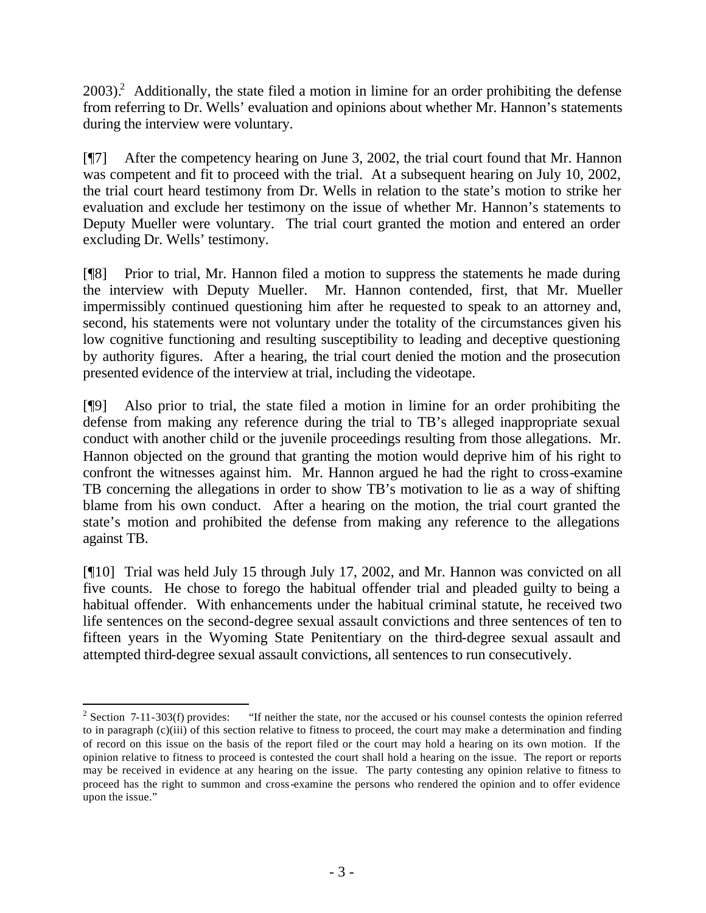$2003$ ).<sup>2</sup> Additionally, the state filed a motion in limine for an order prohibiting the defense from referring to Dr. Wells' evaluation and opinions about whether Mr. Hannon's statements during the interview were voluntary.

[¶7] After the competency hearing on June 3, 2002, the trial court found that Mr. Hannon was competent and fit to proceed with the trial. At a subsequent hearing on July 10, 2002, the trial court heard testimony from Dr. Wells in relation to the state's motion to strike her evaluation and exclude her testimony on the issue of whether Mr. Hannon's statements to Deputy Mueller were voluntary. The trial court granted the motion and entered an order excluding Dr. Wells' testimony.

[¶8] Prior to trial, Mr. Hannon filed a motion to suppress the statements he made during the interview with Deputy Mueller. Mr. Hannon contended, first, that Mr. Mueller impermissibly continued questioning him after he requested to speak to an attorney and, second, his statements were not voluntary under the totality of the circumstances given his low cognitive functioning and resulting susceptibility to leading and deceptive questioning by authority figures. After a hearing, the trial court denied the motion and the prosecution presented evidence of the interview at trial, including the videotape.

[¶9] Also prior to trial, the state filed a motion in limine for an order prohibiting the defense from making any reference during the trial to TB's alleged inappropriate sexual conduct with another child or the juvenile proceedings resulting from those allegations. Mr. Hannon objected on the ground that granting the motion would deprive him of his right to confront the witnesses against him. Mr. Hannon argued he had the right to cross-examine TB concerning the allegations in order to show TB's motivation to lie as a way of shifting blame from his own conduct. After a hearing on the motion, the trial court granted the state's motion and prohibited the defense from making any reference to the allegations against TB.

[¶10] Trial was held July 15 through July 17, 2002, and Mr. Hannon was convicted on all five counts. He chose to forego the habitual offender trial and pleaded guilty to being a habitual offender. With enhancements under the habitual criminal statute, he received two life sentences on the second-degree sexual assault convictions and three sentences of ten to fifteen years in the Wyoming State Penitentiary on the third-degree sexual assault and attempted third-degree sexual assault convictions, all sentences to run consecutively.

 $2$  Section 7-11-303(f) provides: "If neither the state, nor the accused or his counsel contests the opinion referred to in paragraph (c)(iii) of this section relative to fitness to proceed, the court may make a determination and finding of record on this issue on the basis of the report filed or the court may hold a hearing on its own motion. If the opinion relative to fitness to proceed is contested the court shall hold a hearing on the issue. The report or reports may be received in evidence at any hearing on the issue. The party contesting any opinion relative to fitness to proceed has the right to summon and cross-examine the persons who rendered the opinion and to offer evidence upon the issue."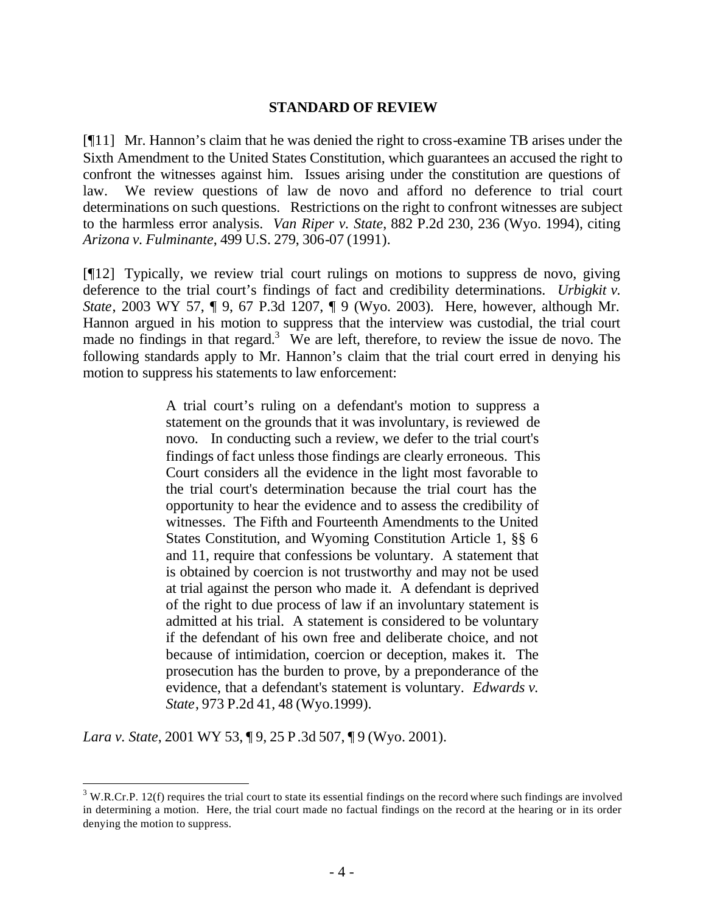#### **STANDARD OF REVIEW**

[¶11] Mr. Hannon's claim that he was denied the right to cross-examine TB arises under the Sixth Amendment to the United States Constitution, which guarantees an accused the right to confront the witnesses against him. Issues arising under the constitution are questions of law. We review questions of law de novo and afford no deference to trial court determinations on such questions. Restrictions on the right to confront witnesses are subject to the harmless error analysis. *Van Riper v. State*, 882 P.2d 230, 236 (Wyo. 1994), citing *Arizona v. Fulminante*, 499 U.S. 279, 306-07 (1991).

[¶12] Typically, we review trial court rulings on motions to suppress de novo, giving deference to the trial court's findings of fact and credibility determinations. *Urbigkit v. State*, 2003 WY 57, ¶ 9, 67 P.3d 1207, ¶ 9 (Wyo. 2003). Here, however, although Mr. Hannon argued in his motion to suppress that the interview was custodial, the trial court made no findings in that regard.<sup>3</sup> We are left, therefore, to review the issue de novo. The following standards apply to Mr. Hannon's claim that the trial court erred in denying his motion to suppress his statements to law enforcement:

> A trial court's ruling on a defendant's motion to suppress a statement on the grounds that it was involuntary, is reviewed de novo. In conducting such a review, we defer to the trial court's findings of fact unless those findings are clearly erroneous. This Court considers all the evidence in the light most favorable to the trial court's determination because the trial court has the opportunity to hear the evidence and to assess the credibility of witnesses. The Fifth and Fourteenth Amendments to the United States Constitution, and Wyoming Constitution Article 1, §§ 6 and 11, require that confessions be voluntary. A statement that is obtained by coercion is not trustworthy and may not be used at trial against the person who made it. A defendant is deprived of the right to due process of law if an involuntary statement is admitted at his trial. A statement is considered to be voluntary if the defendant of his own free and deliberate choice, and not because of intimidation, coercion or deception, makes it. The prosecution has the burden to prove, by a preponderance of the evidence, that a defendant's statement is voluntary. *Edwards v. State*, 973 P.2d 41, 48 (Wyo.1999).

*Lara v. State*, 2001 WY 53, ¶ 9, 25 P.3d 507, ¶ 9 (Wyo. 2001).

 $3$  W.R.Cr.P. 12(f) requires the trial court to state its essential findings on the record where such findings are involved in determining a motion. Here, the trial court made no factual findings on the record at the hearing or in its order denying the motion to suppress.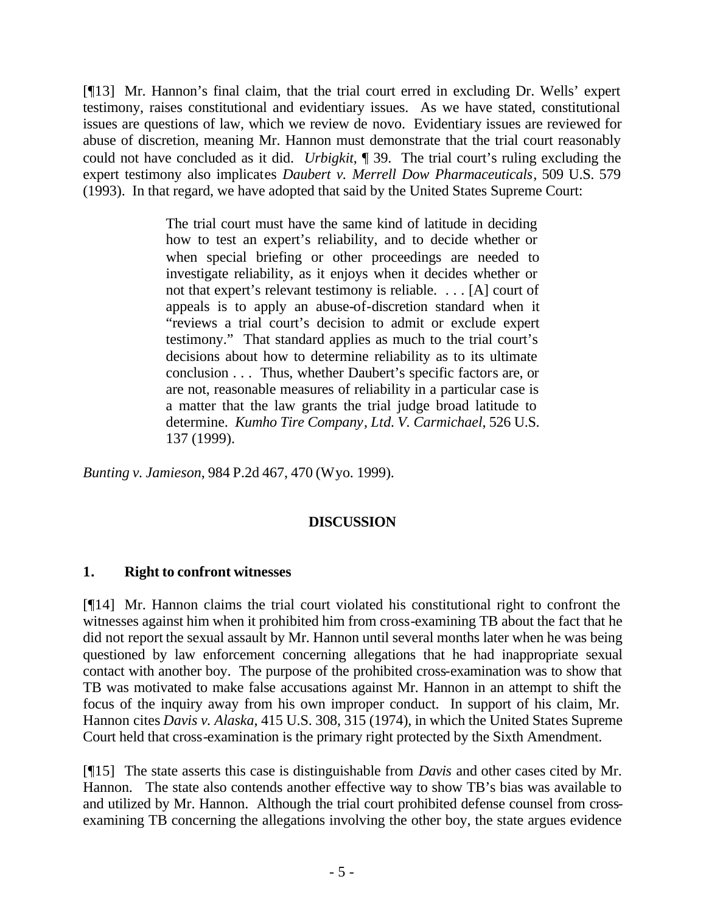[¶13] Mr. Hannon's final claim, that the trial court erred in excluding Dr. Wells' expert testimony, raises constitutional and evidentiary issues. As we have stated, constitutional issues are questions of law, which we review de novo. Evidentiary issues are reviewed for abuse of discretion, meaning Mr. Hannon must demonstrate that the trial court reasonably could not have concluded as it did. *Urbigkit*, ¶ 39. The trial court's ruling excluding the expert testimony also implicates *Daubert v. Merrell Dow Pharmaceuticals*, 509 U.S. 579 (1993). In that regard, we have adopted that said by the United States Supreme Court:

> The trial court must have the same kind of latitude in deciding how to test an expert's reliability, and to decide whether or when special briefing or other proceedings are needed to investigate reliability, as it enjoys when it decides whether or not that expert's relevant testimony is reliable. . . . [A] court of appeals is to apply an abuse-of-discretion standard when it "reviews a trial court's decision to admit or exclude expert testimony." That standard applies as much to the trial court's decisions about how to determine reliability as to its ultimate conclusion . . . Thus, whether Daubert's specific factors are, or are not, reasonable measures of reliability in a particular case is a matter that the law grants the trial judge broad latitude to determine. *Kumho Tire Company*, *Ltd. V. Carmichael*, 526 U.S. 137 (1999).

*Bunting v. Jamieson*, 984 P.2d 467, 470 (Wyo. 1999).

## **DISCUSSION**

## **1. Right to confront witnesses**

[¶14] Mr. Hannon claims the trial court violated his constitutional right to confront the witnesses against him when it prohibited him from cross-examining TB about the fact that he did not report the sexual assault by Mr. Hannon until several months later when he was being questioned by law enforcement concerning allegations that he had inappropriate sexual contact with another boy. The purpose of the prohibited cross-examination was to show that TB was motivated to make false accusations against Mr. Hannon in an attempt to shift the focus of the inquiry away from his own improper conduct. In support of his claim, Mr. Hannon cites *Davis v. Alaska*, 415 U.S. 308, 315 (1974), in which the United States Supreme Court held that cross-examination is the primary right protected by the Sixth Amendment.

[¶15] The state asserts this case is distinguishable from *Davis* and other cases cited by Mr. Hannon. The state also contends another effective way to show TB's bias was available to and utilized by Mr. Hannon. Although the trial court prohibited defense counsel from crossexamining TB concerning the allegations involving the other boy, the state argues evidence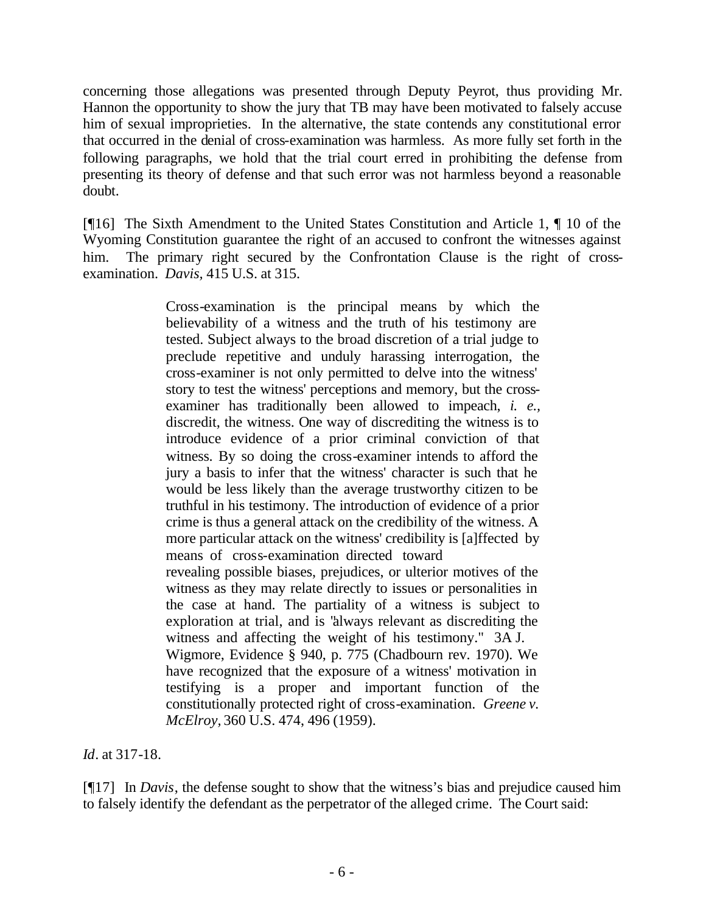concerning those allegations was presented through Deputy Peyrot, thus providing Mr. Hannon the opportunity to show the jury that TB may have been motivated to falsely accuse him of sexual improprieties. In the alternative, the state contends any constitutional error that occurred in the denial of cross-examination was harmless. As more fully set forth in the following paragraphs, we hold that the trial court erred in prohibiting the defense from presenting its theory of defense and that such error was not harmless beyond a reasonable doubt.

[¶16] The Sixth Amendment to the United States Constitution and Article 1, ¶ 10 of the Wyoming Constitution guarantee the right of an accused to confront the witnesses against him. The primary right secured by the Confrontation Clause is the right of crossexamination. *Davis,* 415 U.S. at 315.

> Cross-examination is the principal means by which the believability of a witness and the truth of his testimony are tested. Subject always to the broad discretion of a trial judge to preclude repetitive and unduly harassing interrogation, the cross-examiner is not only permitted to delve into the witness' story to test the witness' perceptions and memory, but the crossexaminer has traditionally been allowed to impeach, *i. e.,* discredit, the witness. One way of discrediting the witness is to introduce evidence of a prior criminal conviction of that witness. By so doing the cross-examiner intends to afford the jury a basis to infer that the witness' character is such that he would be less likely than the average trustworthy citizen to be truthful in his testimony. The introduction of evidence of a prior crime is thus a general attack on the credibility of the witness. A more particular attack on the witness' credibility is [a]ffected by means of cross-examination directed toward revealing possible biases, prejudices, or ulterior motives of the witness as they may relate directly to issues or personalities in the case at hand. The partiality of a witness is subject to exploration at trial, and is "always relevant as discrediting the witness and affecting the weight of his testimony." 3A J. Wigmore, Evidence § 940, p. 775 (Chadbourn rev. 1970). We have recognized that the exposure of a witness' motivation in testifying is a proper and important function of the constitutionally protected right of cross-examination. *Greene v. McElroy,* 360 U.S. 474, 496 (1959).

*Id*. at 317-18.

[¶17] In *Davis*, the defense sought to show that the witness's bias and prejudice caused him to falsely identify the defendant as the perpetrator of the alleged crime. The Court said: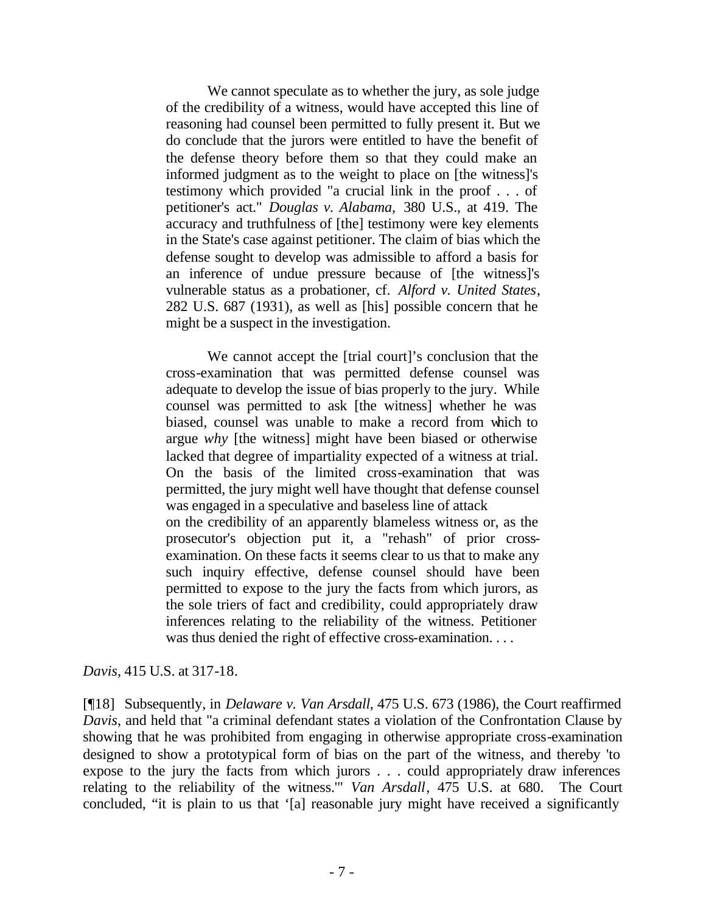We cannot speculate as to whether the jury, as sole judge of the credibility of a witness, would have accepted this line of reasoning had counsel been permitted to fully present it. But we do conclude that the jurors were entitled to have the benefit of the defense theory before them so that they could make an informed judgment as to the weight to place on [the witness]'s testimony which provided "a crucial link in the proof . . . of petitioner's act." *Douglas v. Alabama,* 380 U.S., at 419. The accuracy and truthfulness of [the] testimony were key elements in the State's case against petitioner. The claim of bias which the defense sought to develop was admissible to afford a basis for an inference of undue pressure because of [the witness]'s vulnerable status as a probationer, cf. *Alford v. United States*, 282 U.S. 687 (1931), as well as [his] possible concern that he might be a suspect in the investigation.

We cannot accept the [trial court]'s conclusion that the cross-examination that was permitted defense counsel was adequate to develop the issue of bias properly to the jury. While counsel was permitted to ask [the witness] whether he was biased, counsel was unable to make a record from which to argue *why* [the witness] might have been biased or otherwise lacked that degree of impartiality expected of a witness at trial. On the basis of the limited cross-examination that was permitted, the jury might well have thought that defense counsel was engaged in a speculative and baseless line of attack on the credibility of an apparently blameless witness or, as the prosecutor's objection put it, a "rehash" of prior crossexamination. On these facts it seems clear to us that to make any such inquiry effective, defense counsel should have been permitted to expose to the jury the facts from which jurors, as the sole triers of fact and credibility, could appropriately draw inferences relating to the reliability of the witness. Petitioner was thus denied the right of effective cross-examination. . . .

#### *Davis*, 415 U.S. at 317-18.

[¶18] Subsequently, in *Delaware v. Van Arsdall*, 475 U.S. 673 (1986), the Court reaffirmed *Davis*, and held that "a criminal defendant states a violation of the Confrontation Clause by showing that he was prohibited from engaging in otherwise appropriate cross-examination designed to show a prototypical form of bias on the part of the witness, and thereby 'to expose to the jury the facts from which jurors . . . could appropriately draw inferences relating to the reliability of the witness.'" *Van Arsdall*, 475 U.S. at 680. The Court concluded, "it is plain to us that '[a] reasonable jury might have received a significantly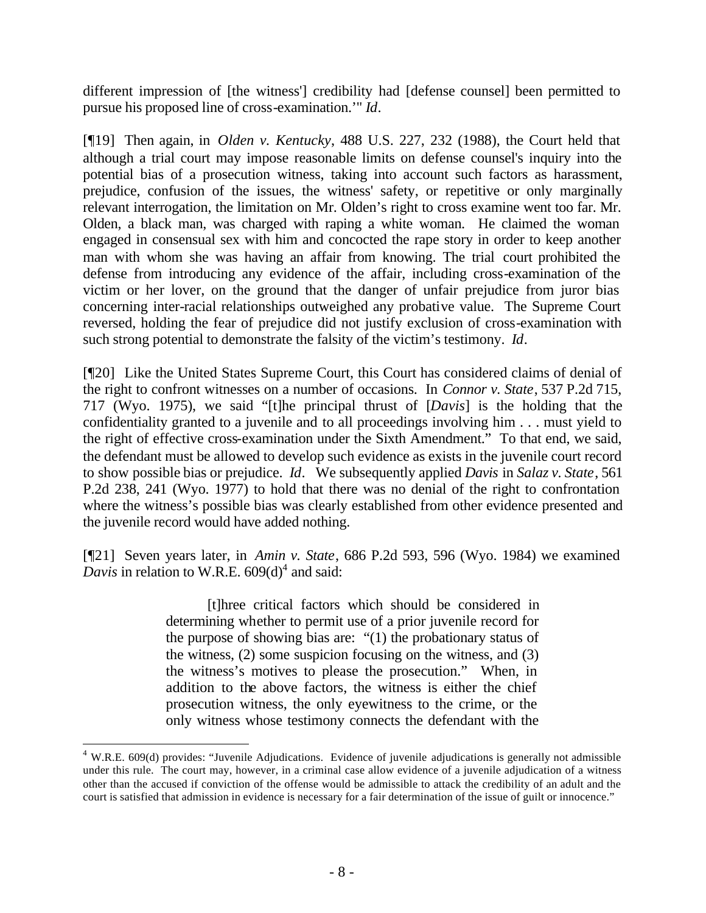different impression of [the witness'] credibility had [defense counsel] been permitted to pursue his proposed line of cross-examination.'" *Id*.

[¶19] Then again, in *Olden v. Kentucky*, 488 U.S. 227, 232 (1988), the Court held that although a trial court may impose reasonable limits on defense counsel's inquiry into the potential bias of a prosecution witness, taking into account such factors as harassment, prejudice, confusion of the issues, the witness' safety, or repetitive or only marginally relevant interrogation, the limitation on Mr. Olden's right to cross examine went too far. Mr. Olden, a black man, was charged with raping a white woman. He claimed the woman engaged in consensual sex with him and concocted the rape story in order to keep another man with whom she was having an affair from knowing. The trial court prohibited the defense from introducing any evidence of the affair, including cross-examination of the victim or her lover, on the ground that the danger of unfair prejudice from juror bias concerning inter-racial relationships outweighed any probative value. The Supreme Court reversed, holding the fear of prejudice did not justify exclusion of cross-examination with such strong potential to demonstrate the falsity of the victim's testimony. *Id*.

[¶20] Like the United States Supreme Court, this Court has considered claims of denial of the right to confront witnesses on a number of occasions. In *Connor v. State*, 537 P.2d 715, 717 (Wyo. 1975), we said "[t]he principal thrust of [*Davis*] is the holding that the confidentiality granted to a juvenile and to all proceedings involving him . . . must yield to the right of effective cross-examination under the Sixth Amendment." To that end, we said, the defendant must be allowed to develop such evidence as exists in the juvenile court record to show possible bias or prejudice. *Id*. We subsequently applied *Davis* in *Salaz v. State*, 561 P.2d 238, 241 (Wyo. 1977) to hold that there was no denial of the right to confrontation where the witness's possible bias was clearly established from other evidence presented and the juvenile record would have added nothing.

[¶21] Seven years later, in *Amin v. State*, 686 P.2d 593, 596 (Wyo. 1984) we examined Davis in relation to W.R.E.  $609(d)^4$  and said:

> [t]hree critical factors which should be considered in determining whether to permit use of a prior juvenile record for the purpose of showing bias are: "(1) the probationary status of the witness, (2) some suspicion focusing on the witness, and (3) the witness's motives to please the prosecution." When, in addition to the above factors, the witness is either the chief prosecution witness, the only eyewitness to the crime, or the only witness whose testimony connects the defendant with the

 $4$  W.R.E. 609(d) provides: "Juvenile Adjudications. Evidence of juvenile adjudications is generally not admissible under this rule. The court may, however, in a criminal case allow evidence of a juvenile adjudication of a witness other than the accused if conviction of the offense would be admissible to attack the credibility of an adult and the court is satisfied that admission in evidence is necessary for a fair determination of the issue of guilt or innocence."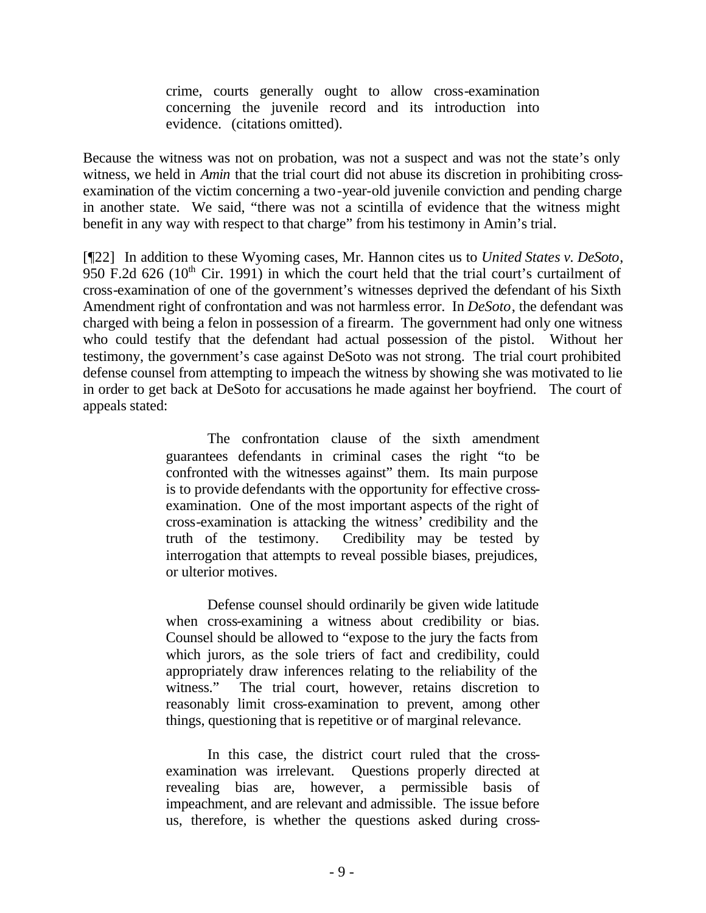crime, courts generally ought to allow cross-examination concerning the juvenile record and its introduction into evidence. (citations omitted).

Because the witness was not on probation, was not a suspect and was not the state's only witness, we held in *Amin* that the trial court did not abuse its discretion in prohibiting crossexamination of the victim concerning a two-year-old juvenile conviction and pending charge in another state. We said, "there was not a scintilla of evidence that the witness might benefit in any way with respect to that charge" from his testimony in Amin's trial.

[¶22] In addition to these Wyoming cases, Mr. Hannon cites us to *United States v. DeSoto*, 950 F.2d 626 ( $10<sup>th</sup>$  Cir. 1991) in which the court held that the trial court's curtailment of cross-examination of one of the government's witnesses deprived the defendant of his Sixth Amendment right of confrontation and was not harmless error. In *DeSoto*, the defendant was charged with being a felon in possession of a firearm. The government had only one witness who could testify that the defendant had actual possession of the pistol. Without her testimony, the government's case against DeSoto was not strong. The trial court prohibited defense counsel from attempting to impeach the witness by showing she was motivated to lie in order to get back at DeSoto for accusations he made against her boyfriend. The court of appeals stated:

> The confrontation clause of the sixth amendment guarantees defendants in criminal cases the right "to be confronted with the witnesses against" them. Its main purpose is to provide defendants with the opportunity for effective crossexamination. One of the most important aspects of the right of cross-examination is attacking the witness' credibility and the truth of the testimony. Credibility may be tested by interrogation that attempts to reveal possible biases, prejudices, or ulterior motives.

> Defense counsel should ordinarily be given wide latitude when cross-examining a witness about credibility or bias. Counsel should be allowed to "expose to the jury the facts from which jurors, as the sole triers of fact and credibility, could appropriately draw inferences relating to the reliability of the witness." The trial court, however, retains discretion to reasonably limit cross-examination to prevent, among other things, questioning that is repetitive or of marginal relevance.

> In this case, the district court ruled that the crossexamination was irrelevant. Questions properly directed at revealing bias are, however, a permissible basis of impeachment, and are relevant and admissible. The issue before us, therefore, is whether the questions asked during cross-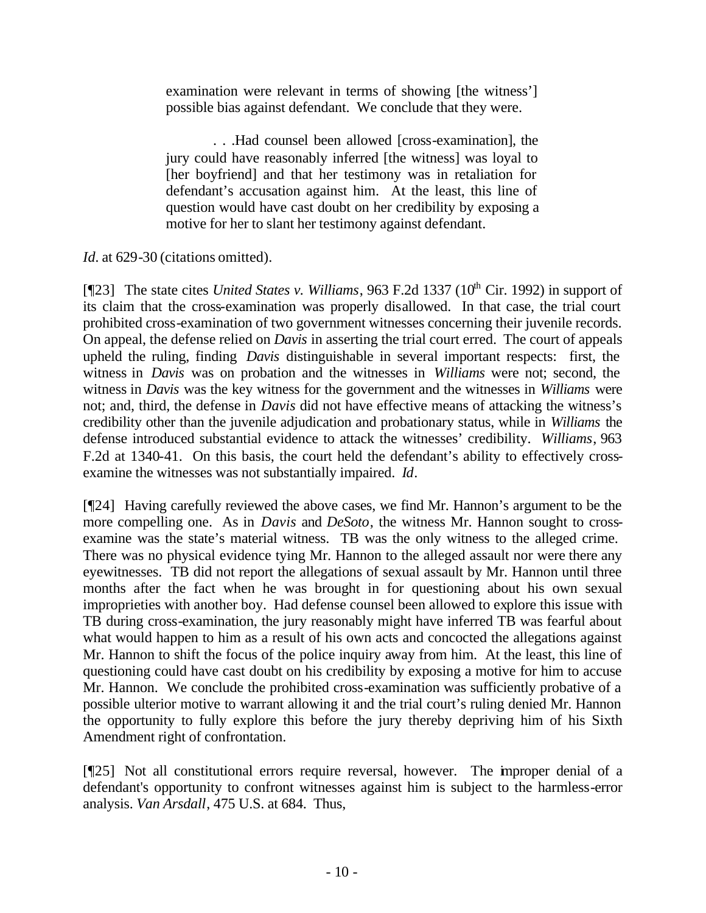examination were relevant in terms of showing [the witness'] possible bias against defendant. We conclude that they were.

 . . .Had counsel been allowed [cross-examination], the jury could have reasonably inferred [the witness] was loyal to [her boyfriend] and that her testimony was in retaliation for defendant's accusation against him. At the least, this line of question would have cast doubt on her credibility by exposing a motive for her to slant her testimony against defendant.

*Id.* at 629-30 (citations omitted).

[¶23] The state cites *United States v. Williams*, 963 F.2d 1337 (10<sup>th</sup> Cir. 1992) in support of its claim that the cross-examination was properly disallowed. In that case, the trial court prohibited cross-examination of two government witnesses concerning their juvenile records. On appeal, the defense relied on *Davis* in asserting the trial court erred. The court of appeals upheld the ruling, finding *Davis* distinguishable in several important respects: first, the witness in *Davis* was on probation and the witnesses in *Williams* were not; second, the witness in *Davis* was the key witness for the government and the witnesses in *Williams* were not; and, third, the defense in *Davis* did not have effective means of attacking the witness's credibility other than the juvenile adjudication and probationary status, while in *Williams* the defense introduced substantial evidence to attack the witnesses' credibility. *Williams*, 963 F.2d at 1340-41. On this basis, the court held the defendant's ability to effectively crossexamine the witnesses was not substantially impaired. *Id*.

[¶24] Having carefully reviewed the above cases, we find Mr. Hannon's argument to be the more compelling one. As in *Davis* and *DeSoto*, the witness Mr. Hannon sought to crossexamine was the state's material witness. TB was the only witness to the alleged crime. There was no physical evidence tying Mr. Hannon to the alleged assault nor were there any eyewitnesses. TB did not report the allegations of sexual assault by Mr. Hannon until three months after the fact when he was brought in for questioning about his own sexual improprieties with another boy. Had defense counsel been allowed to explore this issue with TB during cross-examination, the jury reasonably might have inferred TB was fearful about what would happen to him as a result of his own acts and concocted the allegations against Mr. Hannon to shift the focus of the police inquiry away from him. At the least, this line of questioning could have cast doubt on his credibility by exposing a motive for him to accuse Mr. Hannon. We conclude the prohibited cross-examination was sufficiently probative of a possible ulterior motive to warrant allowing it and the trial court's ruling denied Mr. Hannon the opportunity to fully explore this before the jury thereby depriving him of his Sixth Amendment right of confrontation.

[¶25] Not all constitutional errors require reversal, however. The improper denial of a defendant's opportunity to confront witnesses against him is subject to the harmless-error analysis. *Van Arsdall*, 475 U.S. at 684. Thus,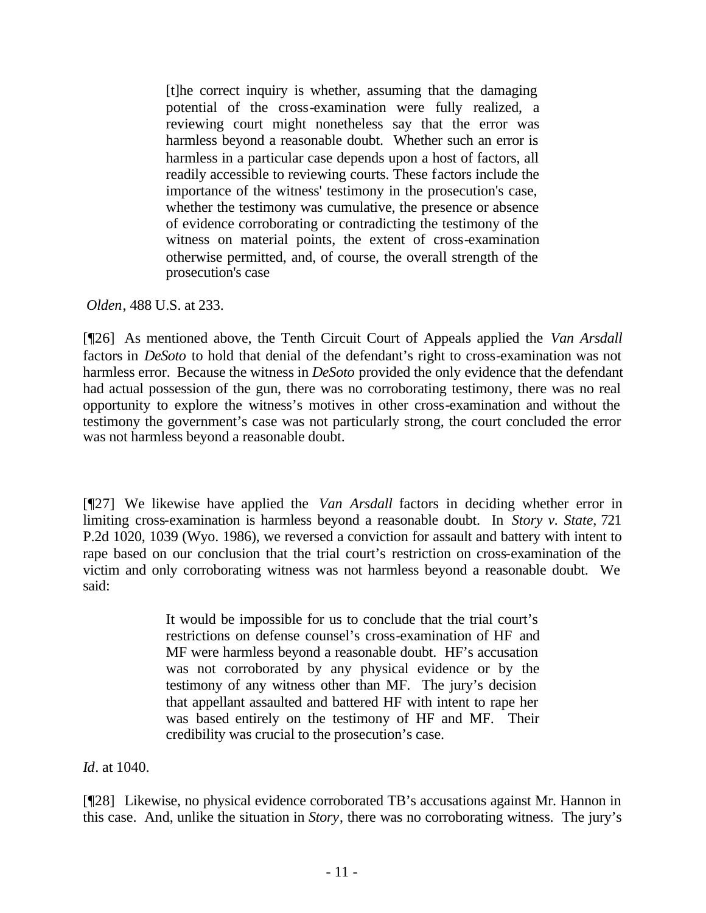[t]he correct inquiry is whether, assuming that the damaging potential of the cross-examination were fully realized, a reviewing court might nonetheless say that the error was harmless beyond a reasonable doubt. Whether such an error is harmless in a particular case depends upon a host of factors, all readily accessible to reviewing courts. These factors include the importance of the witness' testimony in the prosecution's case, whether the testimony was cumulative, the presence or absence of evidence corroborating or contradicting the testimony of the witness on material points, the extent of cross-examination otherwise permitted, and, of course, the overall strength of the prosecution's case

*Olden*, 488 U.S. at 233.

[¶26] As mentioned above, the Tenth Circuit Court of Appeals applied the *Van Arsdall* factors in *DeSoto* to hold that denial of the defendant's right to cross-examination was not harmless error. Because the witness in *DeSoto* provided the only evidence that the defendant had actual possession of the gun, there was no corroborating testimony, there was no real opportunity to explore the witness's motives in other cross-examination and without the testimony the government's case was not particularly strong, the court concluded the error was not harmless beyond a reasonable doubt.

[¶27] We likewise have applied the *Van Arsdall* factors in deciding whether error in limiting cross-examination is harmless beyond a reasonable doubt. In *Story v. State*, 721 P.2d 1020, 1039 (Wyo. 1986), we reversed a conviction for assault and battery with intent to rape based on our conclusion that the trial court's restriction on cross-examination of the victim and only corroborating witness was not harmless beyond a reasonable doubt. We said:

> It would be impossible for us to conclude that the trial court's restrictions on defense counsel's cross-examination of HF and MF were harmless beyond a reasonable doubt. HF's accusation was not corroborated by any physical evidence or by the testimony of any witness other than MF. The jury's decision that appellant assaulted and battered HF with intent to rape her was based entirely on the testimony of HF and MF. Their credibility was crucial to the prosecution's case.

*Id*. at 1040.

[¶28] Likewise, no physical evidence corroborated TB's accusations against Mr. Hannon in this case. And, unlike the situation in *Story*, there was no corroborating witness. The jury's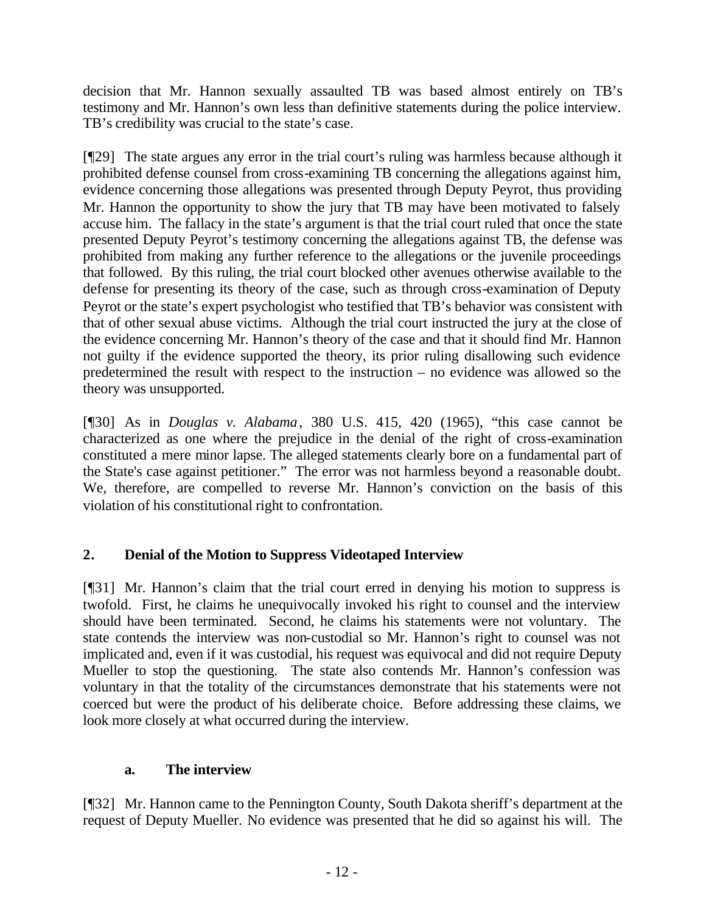decision that Mr. Hannon sexually assaulted TB was based almost entirely on TB's testimony and Mr. Hannon's own less than definitive statements during the police interview. TB's credibility was crucial to the state's case.

[¶29] The state argues any error in the trial court's ruling was harmless because although it prohibited defense counsel from cross-examining TB concerning the allegations against him, evidence concerning those allegations was presented through Deputy Peyrot, thus providing Mr. Hannon the opportunity to show the jury that TB may have been motivated to falsely accuse him. The fallacy in the state's argument is that the trial court ruled that once the state presented Deputy Peyrot's testimony concerning the allegations against TB, the defense was prohibited from making any further reference to the allegations or the juvenile proceedings that followed. By this ruling, the trial court blocked other avenues otherwise available to the defense for presenting its theory of the case, such as through cross-examination of Deputy Peyrot or the state's expert psychologist who testified that TB's behavior was consistent with that of other sexual abuse victims. Although the trial court instructed the jury at the close of the evidence concerning Mr. Hannon's theory of the case and that it should find Mr. Hannon not guilty if the evidence supported the theory, its prior ruling disallowing such evidence predetermined the result with respect to the instruction – no evidence was allowed so the theory was unsupported.

[¶30] As in *Douglas v. Alabama*, 380 U.S. 415, 420 (1965), "this case cannot be characterized as one where the prejudice in the denial of the right of cross-examination constituted a mere minor lapse. The alleged statements clearly bore on a fundamental part of the State's case against petitioner." The error was not harmless beyond a reasonable doubt. We, therefore, are compelled to reverse Mr. Hannon's conviction on the basis of this violation of his constitutional right to confrontation.

# **2. Denial of the Motion to Suppress Videotaped Interview**

[¶31] Mr. Hannon's claim that the trial court erred in denying his motion to suppress is twofold. First, he claims he unequivocally invoked his right to counsel and the interview should have been terminated. Second, he claims his statements were not voluntary. The state contends the interview was non-custodial so Mr. Hannon's right to counsel was not implicated and, even if it was custodial, his request was equivocal and did not require Deputy Mueller to stop the questioning. The state also contends Mr. Hannon's confession was voluntary in that the totality of the circumstances demonstrate that his statements were not coerced but were the product of his deliberate choice. Before addressing these claims, we look more closely at what occurred during the interview.

## **a. The interview**

[¶32] Mr. Hannon came to the Pennington County, South Dakota sheriff's department at the request of Deputy Mueller. No evidence was presented that he did so against his will. The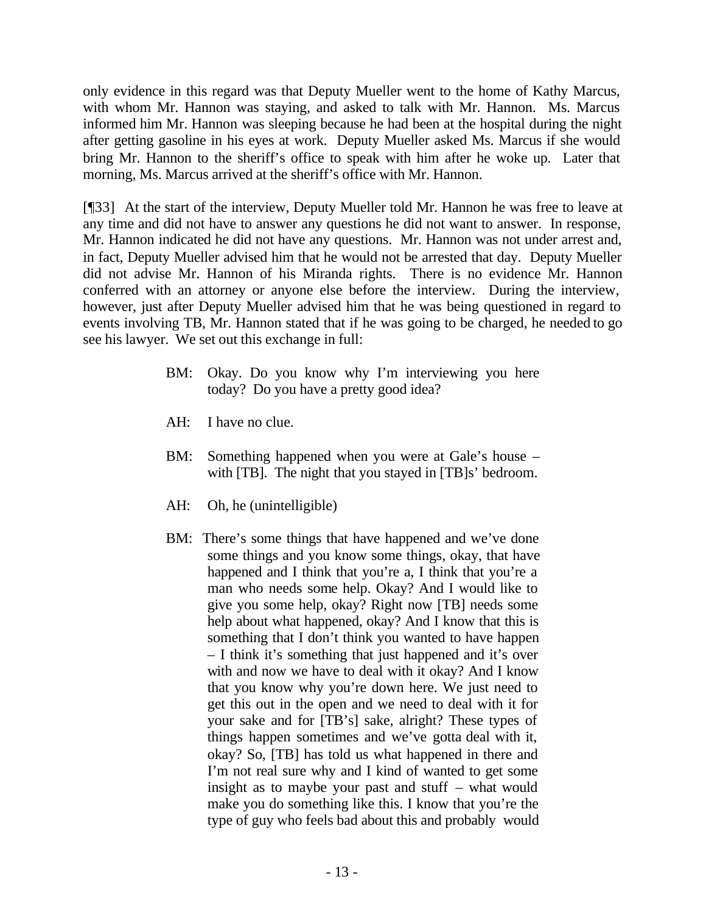only evidence in this regard was that Deputy Mueller went to the home of Kathy Marcus, with whom Mr. Hannon was staying, and asked to talk with Mr. Hannon. Ms. Marcus informed him Mr. Hannon was sleeping because he had been at the hospital during the night after getting gasoline in his eyes at work. Deputy Mueller asked Ms. Marcus if she would bring Mr. Hannon to the sheriff's office to speak with him after he woke up. Later that morning, Ms. Marcus arrived at the sheriff's office with Mr. Hannon.

[¶33] At the start of the interview, Deputy Mueller told Mr. Hannon he was free to leave at any time and did not have to answer any questions he did not want to answer. In response, Mr. Hannon indicated he did not have any questions. Mr. Hannon was not under arrest and, in fact, Deputy Mueller advised him that he would not be arrested that day. Deputy Mueller did not advise Mr. Hannon of his Miranda rights. There is no evidence Mr. Hannon conferred with an attorney or anyone else before the interview. During the interview, however, just after Deputy Mueller advised him that he was being questioned in regard to events involving TB, Mr. Hannon stated that if he was going to be charged, he needed to go see his lawyer. We set out this exchange in full:

- BM: Okay. Do you know why I'm interviewing you here today? Do you have a pretty good idea?
- AH: I have no clue.
- BM: Something happened when you were at Gale's house with [TB]. The night that you stayed in [TB]s' bedroom.
- AH: Oh, he (unintelligible)
- BM: There's some things that have happened and we've done some things and you know some things, okay, that have happened and I think that you're a, I think that you're a man who needs some help. Okay? And I would like to give you some help, okay? Right now [TB] needs some help about what happened, okay? And I know that this is something that I don't think you wanted to have happen – I think it's something that just happened and it's over with and now we have to deal with it okay? And I know that you know why you're down here. We just need to get this out in the open and we need to deal with it for your sake and for [TB's] sake, alright? These types of things happen sometimes and we've gotta deal with it, okay? So, [TB] has told us what happened in there and I'm not real sure why and I kind of wanted to get some insight as to maybe your past and stuff – what would make you do something like this. I know that you're the type of guy who feels bad about this and probably would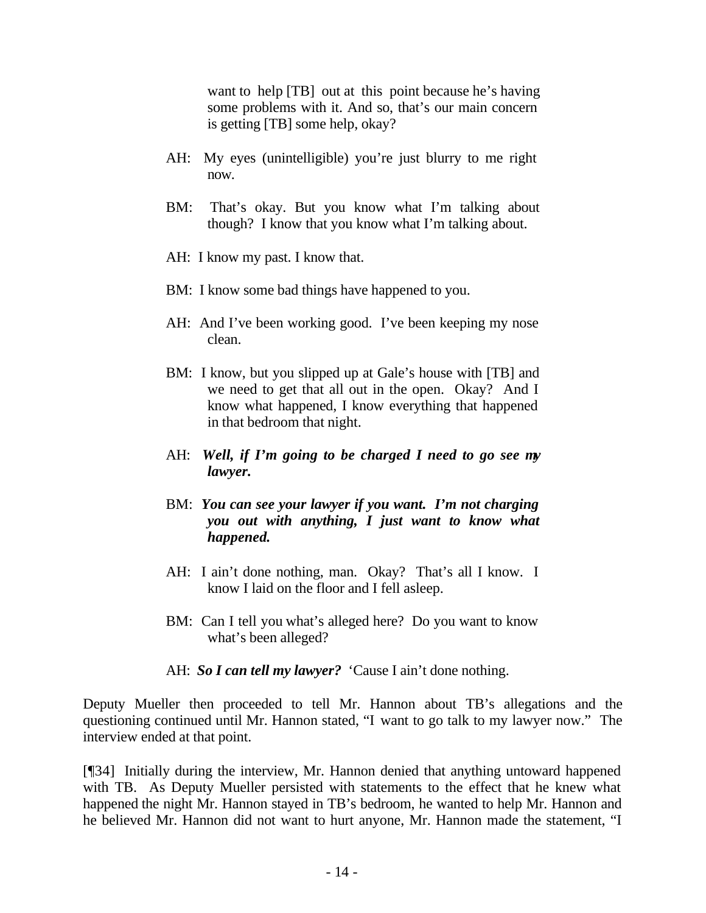want to help [TB] out at this point because he's having some problems with it. And so, that's our main concern is getting [TB] some help, okay?

- AH: My eyes (unintelligible) you're just blurry to me right now.
- BM: That's okay. But you know what I'm talking about though? I know that you know what I'm talking about.
- AH: I know my past. I know that.
- BM: I know some bad things have happened to you.
- AH: And I've been working good. I've been keeping my nose clean.
- BM: I know, but you slipped up at Gale's house with [TB] and we need to get that all out in the open. Okay? And I know what happened, I know everything that happened in that bedroom that night.
- AH: *Well, if I'm going to be charged I need to go see my lawyer.*
- BM: *You can see your lawyer if you want. I'm not charging you out with anything, I just want to know what happened.*
- AH: I ain't done nothing, man. Okay? That's all I know. I know I laid on the floor and I fell asleep.
- BM: Can I tell you what's alleged here? Do you want to know what's been alleged?
- AH: *So I can tell my lawyer?* 'Cause I ain't done nothing.

Deputy Mueller then proceeded to tell Mr. Hannon about TB's allegations and the questioning continued until Mr. Hannon stated, "I want to go talk to my lawyer now." The interview ended at that point.

[¶34] Initially during the interview, Mr. Hannon denied that anything untoward happened with TB. As Deputy Mueller persisted with statements to the effect that he knew what happened the night Mr. Hannon stayed in TB's bedroom, he wanted to help Mr. Hannon and he believed Mr. Hannon did not want to hurt anyone, Mr. Hannon made the statement, "I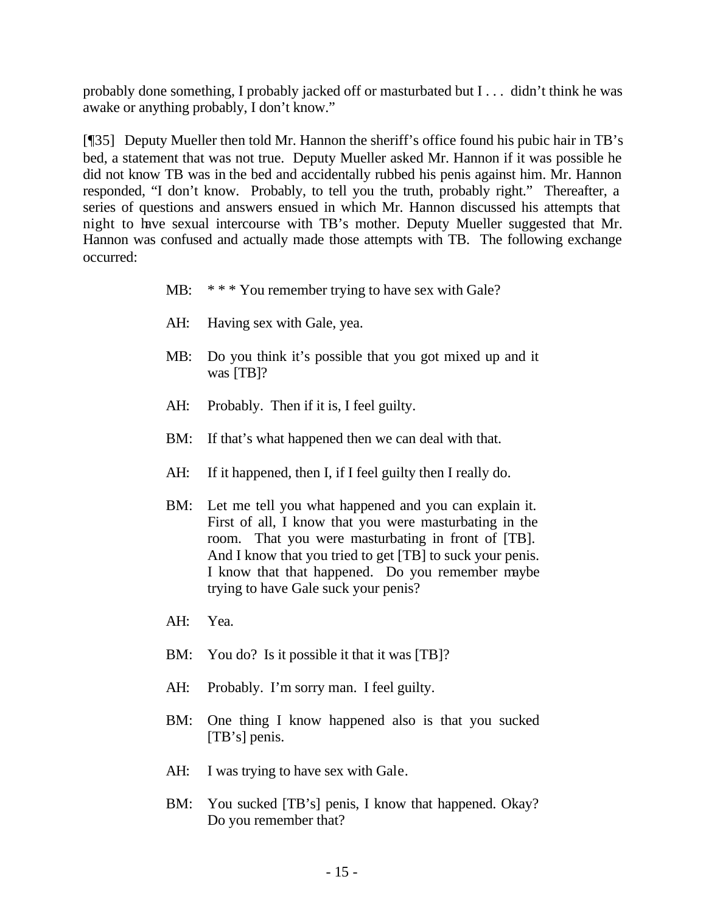probably done something, I probably jacked off or masturbated but I . . . didn't think he was awake or anything probably, I don't know."

[¶35] Deputy Mueller then told Mr. Hannon the sheriff's office found his pubic hair in TB's bed, a statement that was not true. Deputy Mueller asked Mr. Hannon if it was possible he did not know TB was in the bed and accidentally rubbed his penis against him. Mr. Hannon responded, "I don't know. Probably, to tell you the truth, probably right." Thereafter, a series of questions and answers ensued in which Mr. Hannon discussed his attempts that night to have sexual intercourse with TB's mother. Deputy Mueller suggested that Mr. Hannon was confused and actually made those attempts with TB. The following exchange occurred:

- MB: \*\*\* You remember trying to have sex with Gale?
- AH: Having sex with Gale, yea.
- MB: Do you think it's possible that you got mixed up and it was [TB]?
- AH: Probably. Then if it is, I feel guilty.
- BM: If that's what happened then we can deal with that.
- AH: If it happened, then I, if I feel guilty then I really do.
- BM: Let me tell you what happened and you can explain it. First of all, I know that you were masturbating in the room. That you were masturbating in front of [TB]. And I know that you tried to get [TB] to suck your penis. I know that that happened. Do you remember maybe trying to have Gale suck your penis?
- AH: Yea.
- BM: You do? Is it possible it that it was [TB]?
- AH: Probably. I'm sorry man. I feel guilty.
- BM: One thing I know happened also is that you sucked [TB's] penis.
- AH: I was trying to have sex with Gale.
- BM: You sucked [TB's] penis, I know that happened. Okay? Do you remember that?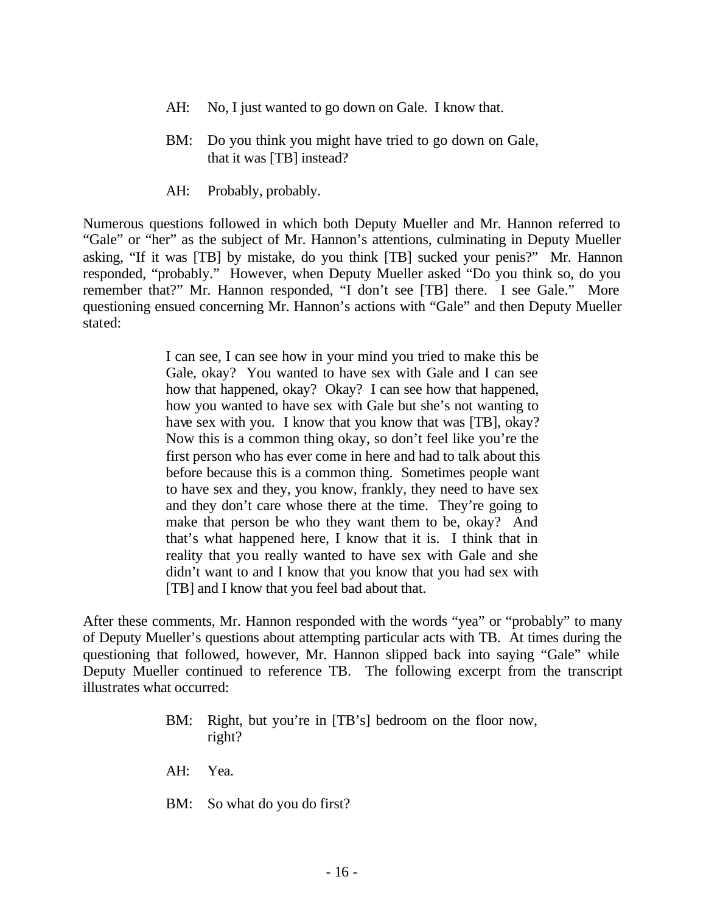- AH: No, I just wanted to go down on Gale. I know that.
- BM: Do you think you might have tried to go down on Gale, that it was [TB] instead?
- AH: Probably, probably.

Numerous questions followed in which both Deputy Mueller and Mr. Hannon referred to "Gale" or "her" as the subject of Mr. Hannon's attentions, culminating in Deputy Mueller asking, "If it was [TB] by mistake, do you think [TB] sucked your penis?" Mr. Hannon responded, "probably." However, when Deputy Mueller asked "Do you think so, do you remember that?" Mr. Hannon responded, "I don't see [TB] there. I see Gale." More questioning ensued concerning Mr. Hannon's actions with "Gale" and then Deputy Mueller stated:

> I can see, I can see how in your mind you tried to make this be Gale, okay? You wanted to have sex with Gale and I can see how that happened, okay? Okay? I can see how that happened, how you wanted to have sex with Gale but she's not wanting to have sex with you. I know that you know that was [TB], okay? Now this is a common thing okay, so don't feel like you're the first person who has ever come in here and had to talk about this before because this is a common thing. Sometimes people want to have sex and they, you know, frankly, they need to have sex and they don't care whose there at the time. They're going to make that person be who they want them to be, okay? And that's what happened here, I know that it is. I think that in reality that you really wanted to have sex with Gale and she didn't want to and I know that you know that you had sex with [TB] and I know that you feel bad about that.

After these comments, Mr. Hannon responded with the words "yea" or "probably" to many of Deputy Mueller's questions about attempting particular acts with TB. At times during the questioning that followed, however, Mr. Hannon slipped back into saying "Gale" while Deputy Mueller continued to reference TB. The following excerpt from the transcript illustrates what occurred:

- BM: Right, but you're in [TB's] bedroom on the floor now, right?
- AH: Yea.
- BM: So what do you do first?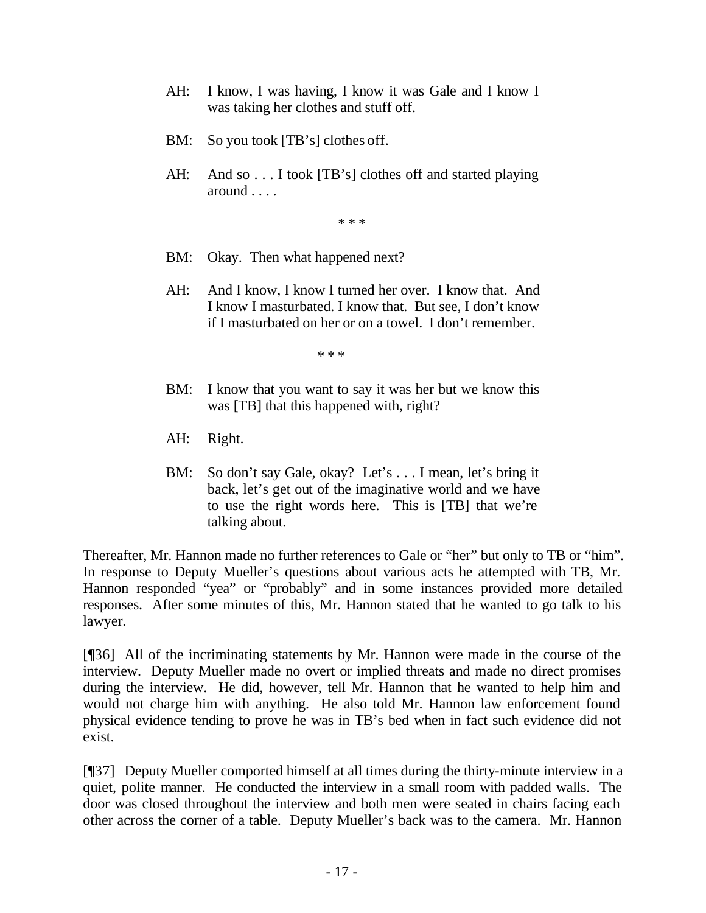- AH: I know, I was having, I know it was Gale and I know I was taking her clothes and stuff off.
- BM: So you took [TB's] clothes off.
- AH: And so . . . I took [TB's] clothes off and started playing around . . . .

\* \* \*

- BM: Okay. Then what happened next?
- AH: And I know, I know I turned her over. I know that. And I know I masturbated. I know that. But see, I don't know if I masturbated on her or on a towel. I don't remember.

\* \* \*

- BM: I know that you want to say it was her but we know this was [TB] that this happened with, right?
- AH: Right.
- BM: So don't say Gale, okay? Let's . . . I mean, let's bring it back, let's get out of the imaginative world and we have to use the right words here. This is [TB] that we're talking about.

Thereafter, Mr. Hannon made no further references to Gale or "her" but only to TB or "him". In response to Deputy Mueller's questions about various acts he attempted with TB, Mr. Hannon responded "yea" or "probably" and in some instances provided more detailed responses. After some minutes of this, Mr. Hannon stated that he wanted to go talk to his lawyer.

[¶36] All of the incriminating statements by Mr. Hannon were made in the course of the interview. Deputy Mueller made no overt or implied threats and made no direct promises during the interview. He did, however, tell Mr. Hannon that he wanted to help him and would not charge him with anything. He also told Mr. Hannon law enforcement found physical evidence tending to prove he was in TB's bed when in fact such evidence did not exist.

[¶37] Deputy Mueller comported himself at all times during the thirty-minute interview in a quiet, polite manner. He conducted the interview in a small room with padded walls. The door was closed throughout the interview and both men were seated in chairs facing each other across the corner of a table. Deputy Mueller's back was to the camera. Mr. Hannon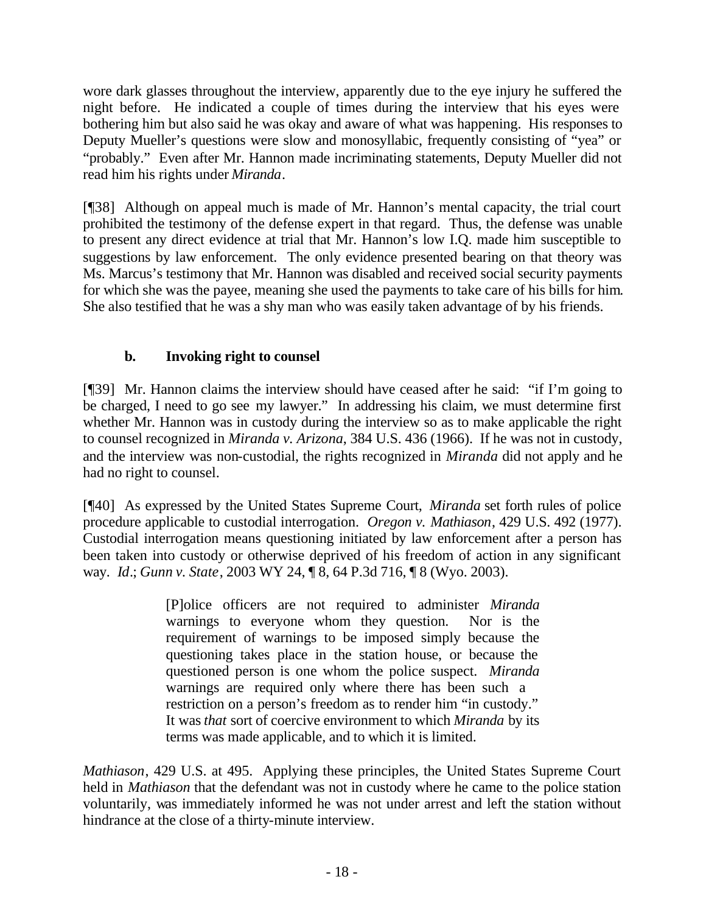wore dark glasses throughout the interview, apparently due to the eye injury he suffered the night before. He indicated a couple of times during the interview that his eyes were bothering him but also said he was okay and aware of what was happening. His responses to Deputy Mueller's questions were slow and monosyllabic, frequently consisting of "yea" or "probably." Even after Mr. Hannon made incriminating statements, Deputy Mueller did not read him his rights under *Miranda*.

[¶38] Although on appeal much is made of Mr. Hannon's mental capacity, the trial court prohibited the testimony of the defense expert in that regard. Thus, the defense was unable to present any direct evidence at trial that Mr. Hannon's low I.Q. made him susceptible to suggestions by law enforcement. The only evidence presented bearing on that theory was Ms. Marcus's testimony that Mr. Hannon was disabled and received social security payments for which she was the payee, meaning she used the payments to take care of his bills for him. She also testified that he was a shy man who was easily taken advantage of by his friends.

# **b. Invoking right to counsel**

[¶39] Mr. Hannon claims the interview should have ceased after he said: "if I'm going to be charged, I need to go see my lawyer." In addressing his claim, we must determine first whether Mr. Hannon was in custody during the interview so as to make applicable the right to counsel recognized in *Miranda v. Arizona*, 384 U.S. 436 (1966). If he was not in custody, and the interview was non-custodial, the rights recognized in *Miranda* did not apply and he had no right to counsel.

[¶40] As expressed by the United States Supreme Court, *Miranda* set forth rules of police procedure applicable to custodial interrogation. *Oregon v. Mathiason*, 429 U.S. 492 (1977). Custodial interrogation means questioning initiated by law enforcement after a person has been taken into custody or otherwise deprived of his freedom of action in any significant way. *Id*.; *Gunn v. State*, 2003 WY 24, ¶ 8, 64 P.3d 716, ¶ 8 (Wyo. 2003).

> [P]olice officers are not required to administer *Miranda* warnings to everyone whom they question. Nor is the requirement of warnings to be imposed simply because the questioning takes place in the station house, or because the questioned person is one whom the police suspect. *Miranda* warnings are required only where there has been such a restriction on a person's freedom as to render him "in custody." It was *that* sort of coercive environment to which *Miranda* by its terms was made applicable, and to which it is limited.

*Mathiason*, 429 U.S. at 495. Applying these principles, the United States Supreme Court held in *Mathiason* that the defendant was not in custody where he came to the police station voluntarily, was immediately informed he was not under arrest and left the station without hindrance at the close of a thirty-minute interview.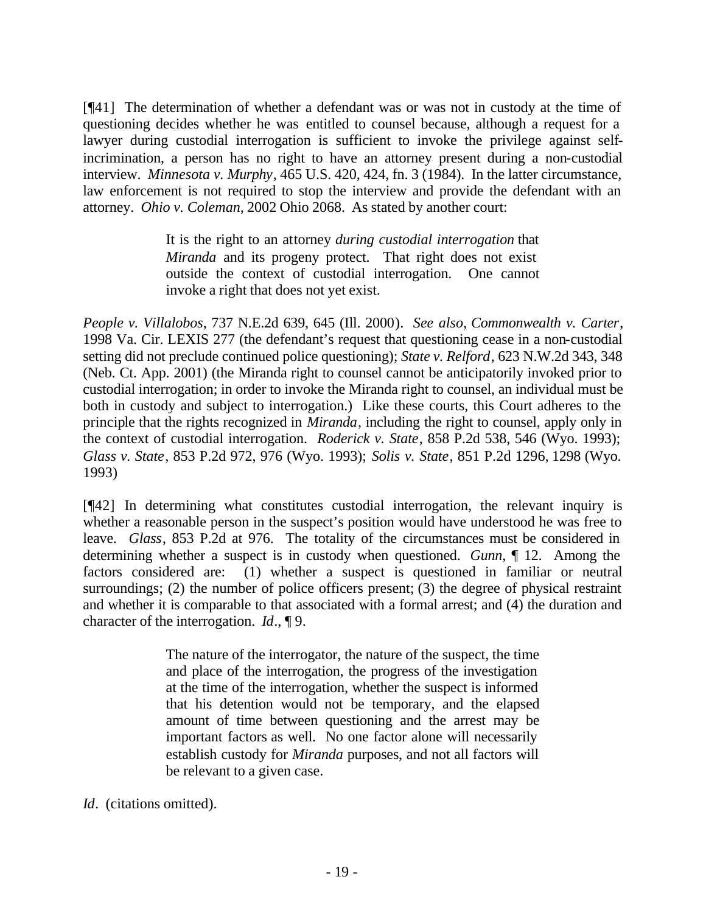[¶41] The determination of whether a defendant was or was not in custody at the time of questioning decides whether he was entitled to counsel because, although a request for a lawyer during custodial interrogation is sufficient to invoke the privilege against selfincrimination, a person has no right to have an attorney present during a non-custodial interview. *Minnesota v. Murphy*, 465 U.S. 420, 424, fn. 3 (1984). In the latter circumstance, law enforcement is not required to stop the interview and provide the defendant with an attorney. *Ohio v. Coleman*, 2002 Ohio 2068. As stated by another court:

> It is the right to an attorney *during custodial interrogation* that *Miranda* and its progeny protect. That right does not exist outside the context of custodial interrogation. One cannot invoke a right that does not yet exist.

*People v. Villalobos*, 737 N.E.2d 639, 645 (Ill. 2000). *See also, Commonwealth v. Carter*, 1998 Va. Cir. LEXIS 277 (the defendant's request that questioning cease in a non-custodial setting did not preclude continued police questioning); *State v. Relford*, 623 N.W.2d 343, 348 (Neb. Ct. App. 2001) (the Miranda right to counsel cannot be anticipatorily invoked prior to custodial interrogation; in order to invoke the Miranda right to counsel, an individual must be both in custody and subject to interrogation.) Like these courts, this Court adheres to the principle that the rights recognized in *Miranda*, including the right to counsel, apply only in the context of custodial interrogation. *Roderick v. State*, 858 P.2d 538, 546 (Wyo. 1993); *Glass v. State*, 853 P.2d 972, 976 (Wyo. 1993); *Solis v. State*, 851 P.2d 1296, 1298 (Wyo. 1993)

[¶42] In determining what constitutes custodial interrogation, the relevant inquiry is whether a reasonable person in the suspect's position would have understood he was free to leave. *Glass*, 853 P.2d at 976. The totality of the circumstances must be considered in determining whether a suspect is in custody when questioned. *Gunn*, ¶ 12. Among the factors considered are: (1) whether a suspect is questioned in familiar or neutral surroundings; (2) the number of police officers present; (3) the degree of physical restraint and whether it is comparable to that associated with a formal arrest; and (4) the duration and character of the interrogation. *Id*., ¶ 9.

> The nature of the interrogator, the nature of the suspect, the time and place of the interrogation, the progress of the investigation at the time of the interrogation, whether the suspect is informed that his detention would not be temporary, and the elapsed amount of time between questioning and the arrest may be important factors as well. No one factor alone will necessarily establish custody for *Miranda* purposes, and not all factors will be relevant to a given case.

*Id*. (citations omitted).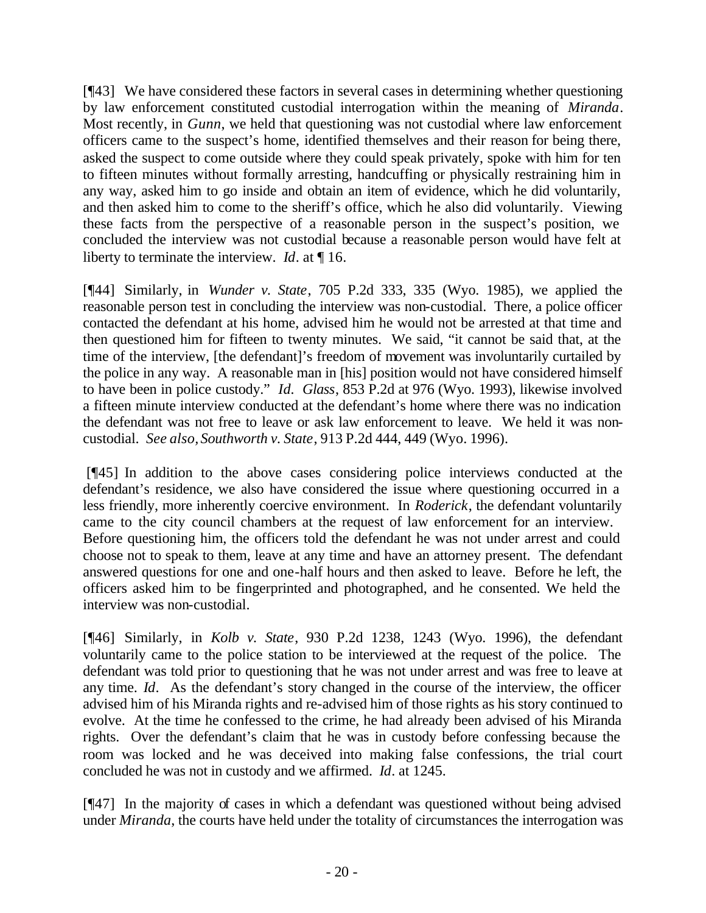[¶43] We have considered these factors in several cases in determining whether questioning by law enforcement constituted custodial interrogation within the meaning of *Miranda*. Most recently, in *Gunn*, we held that questioning was not custodial where law enforcement officers came to the suspect's home, identified themselves and their reason for being there, asked the suspect to come outside where they could speak privately, spoke with him for ten to fifteen minutes without formally arresting, handcuffing or physically restraining him in any way, asked him to go inside and obtain an item of evidence, which he did voluntarily, and then asked him to come to the sheriff's office, which he also did voluntarily. Viewing these facts from the perspective of a reasonable person in the suspect's position, we concluded the interview was not custodial because a reasonable person would have felt at liberty to terminate the interview. *Id*. at ¶ 16.

[¶44] Similarly, in *Wunder v. State*, 705 P.2d 333, 335 (Wyo. 1985), we applied the reasonable person test in concluding the interview was non-custodial. There, a police officer contacted the defendant at his home, advised him he would not be arrested at that time and then questioned him for fifteen to twenty minutes. We said, "it cannot be said that, at the time of the interview, [the defendant]'s freedom of movement was involuntarily curtailed by the police in any way. A reasonable man in [his] position would not have considered himself to have been in police custody." *Id. Glass*, 853 P.2d at 976 (Wyo. 1993), likewise involved a fifteen minute interview conducted at the defendant's home where there was no indication the defendant was not free to leave or ask law enforcement to leave. We held it was noncustodial. *See also, Southworth v. State*, 913 P.2d 444, 449 (Wyo. 1996).

 [¶45] In addition to the above cases considering police interviews conducted at the defendant's residence, we also have considered the issue where questioning occurred in a less friendly, more inherently coercive environment. In *Roderick*, the defendant voluntarily came to the city council chambers at the request of law enforcement for an interview. Before questioning him, the officers told the defendant he was not under arrest and could choose not to speak to them, leave at any time and have an attorney present. The defendant answered questions for one and one-half hours and then asked to leave. Before he left, the officers asked him to be fingerprinted and photographed, and he consented. We held the interview was non-custodial.

[¶46] Similarly, in *Kolb v. State*, 930 P.2d 1238, 1243 (Wyo. 1996), the defendant voluntarily came to the police station to be interviewed at the request of the police. The defendant was told prior to questioning that he was not under arrest and was free to leave at any time. *Id*. As the defendant's story changed in the course of the interview, the officer advised him of his Miranda rights and re-advised him of those rights as his story continued to evolve. At the time he confessed to the crime, he had already been advised of his Miranda rights. Over the defendant's claim that he was in custody before confessing because the room was locked and he was deceived into making false confessions, the trial court concluded he was not in custody and we affirmed. *Id*. at 1245.

[¶47] In the majority of cases in which a defendant was questioned without being advised under *Miranda*, the courts have held under the totality of circumstances the interrogation was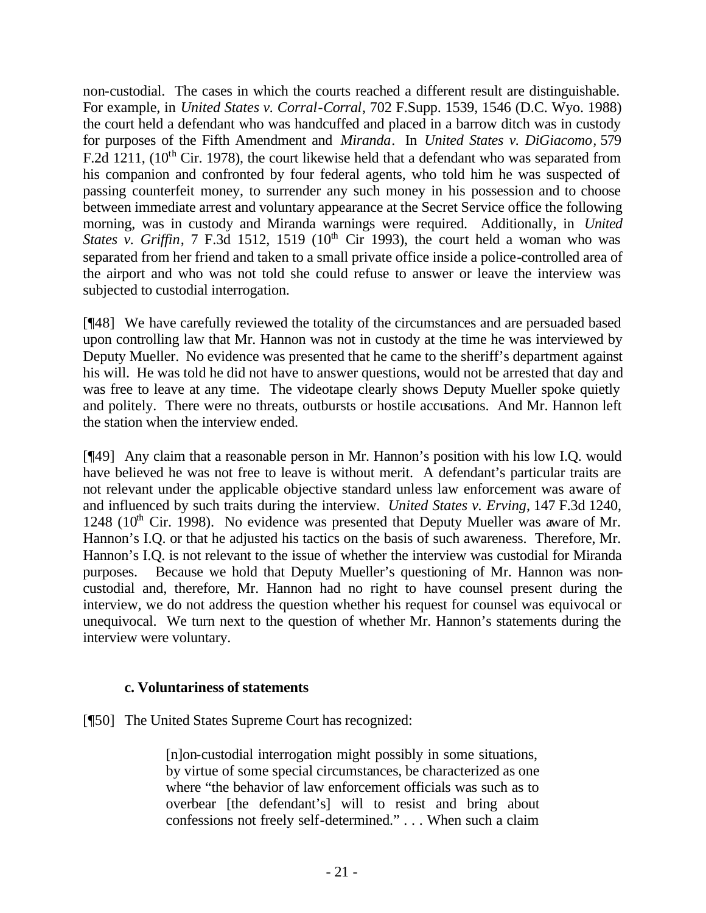non-custodial. The cases in which the courts reached a different result are distinguishable. For example, in *United States v. Corral-Corral*, 702 F.Supp. 1539, 1546 (D.C. Wyo. 1988) the court held a defendant who was handcuffed and placed in a barrow ditch was in custody for purposes of the Fifth Amendment and *Miranda*. In *United States v. DiGiacomo,* 579 F.2d 1211,  $(10^{th}$  Cir. 1978), the court likewise held that a defendant who was separated from his companion and confronted by four federal agents, who told him he was suspected of passing counterfeit money, to surrender any such money in his possession and to choose between immediate arrest and voluntary appearance at the Secret Service office the following morning, was in custody and Miranda warnings were required. Additionally, in *United States v. Griffin*, 7 F.3d 1512, 1519 ( $10<sup>th</sup>$  Cir 1993), the court held a woman who was separated from her friend and taken to a small private office inside a police-controlled area of the airport and who was not told she could refuse to answer or leave the interview was subjected to custodial interrogation.

[¶48] We have carefully reviewed the totality of the circumstances and are persuaded based upon controlling law that Mr. Hannon was not in custody at the time he was interviewed by Deputy Mueller. No evidence was presented that he came to the sheriff's department against his will. He was told he did not have to answer questions, would not be arrested that day and was free to leave at any time. The videotape clearly shows Deputy Mueller spoke quietly and politely. There were no threats, outbursts or hostile accusations. And Mr. Hannon left the station when the interview ended.

[¶49] Any claim that a reasonable person in Mr. Hannon's position with his low I.Q. would have believed he was not free to leave is without merit. A defendant's particular traits are not relevant under the applicable objective standard unless law enforcement was aware of and influenced by such traits during the interview. *United States v. Erving*, 147 F.3d 1240, 1248 ( $10^{th}$  Cir. 1998). No evidence was presented that Deputy Mueller was aware of Mr. Hannon's I.Q. or that he adjusted his tactics on the basis of such awareness. Therefore, Mr. Hannon's I.Q. is not relevant to the issue of whether the interview was custodial for Miranda purposes. Because we hold that Deputy Mueller's questioning of Mr. Hannon was noncustodial and, therefore, Mr. Hannon had no right to have counsel present during the interview, we do not address the question whether his request for counsel was equivocal or unequivocal. We turn next to the question of whether Mr. Hannon's statements during the interview were voluntary.

## **c. Voluntariness of statements**

[¶50] The United States Supreme Court has recognized:

[n]on-custodial interrogation might possibly in some situations, by virtue of some special circumstances, be characterized as one where "the behavior of law enforcement officials was such as to overbear [the defendant's] will to resist and bring about confessions not freely self-determined." . . . When such a claim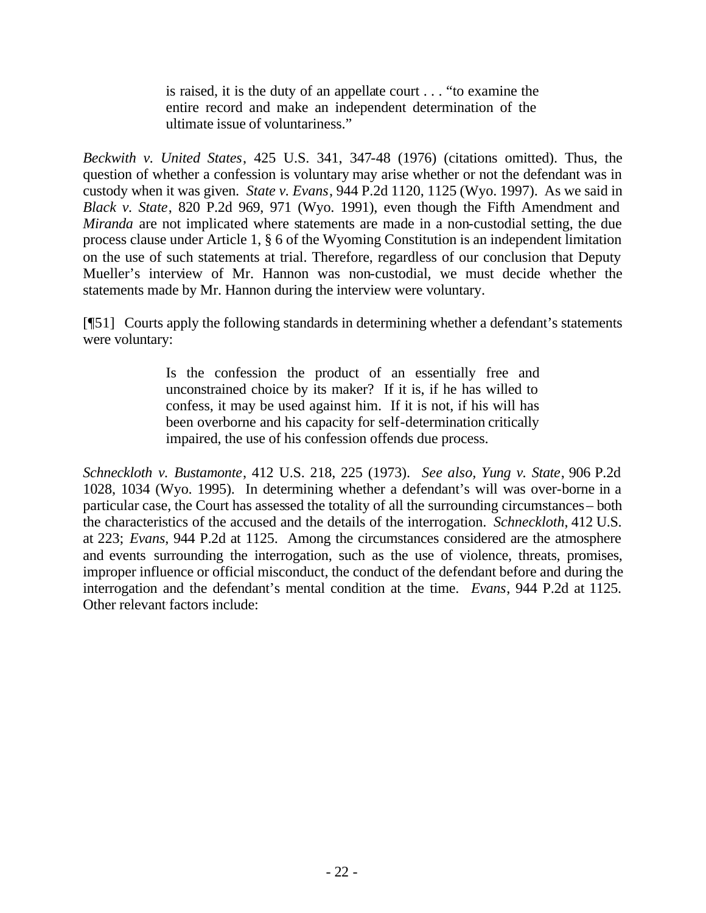is raised, it is the duty of an appellate court . . . "to examine the entire record and make an independent determination of the ultimate issue of voluntariness."

*Beckwith v. United States*, 425 U.S. 341, 347-48 (1976) (citations omitted). Thus, the question of whether a confession is voluntary may arise whether or not the defendant was in custody when it was given. *State v. Evans*, 944 P.2d 1120, 1125 (Wyo. 1997). As we said in *Black v. State*, 820 P.2d 969, 971 (Wyo. 1991), even though the Fifth Amendment and *Miranda* are not implicated where statements are made in a non-custodial setting, the due process clause under Article 1, § 6 of the Wyoming Constitution is an independent limitation on the use of such statements at trial. Therefore, regardless of our conclusion that Deputy Mueller's interview of Mr. Hannon was non-custodial, we must decide whether the statements made by Mr. Hannon during the interview were voluntary.

[¶51] Courts apply the following standards in determining whether a defendant's statements were voluntary:

> Is the confession the product of an essentially free and unconstrained choice by its maker? If it is, if he has willed to confess, it may be used against him. If it is not, if his will has been overborne and his capacity for self-determination critically impaired, the use of his confession offends due process.

*Schneckloth v. Bustamonte*, 412 U.S. 218, 225 (1973). *See also, Yung v. State*, 906 P.2d 1028, 1034 (Wyo. 1995). In determining whether a defendant's will was over-borne in a particular case, the Court has assessed the totality of all the surrounding circumstances – both the characteristics of the accused and the details of the interrogation. *Schneckloth*, 412 U.S. at 223; *Evans*, 944 P.2d at 1125. Among the circumstances considered are the atmosphere and events surrounding the interrogation, such as the use of violence, threats, promises, improper influence or official misconduct, the conduct of the defendant before and during the interrogation and the defendant's mental condition at the time. *Evans*, 944 P.2d at 1125. Other relevant factors include: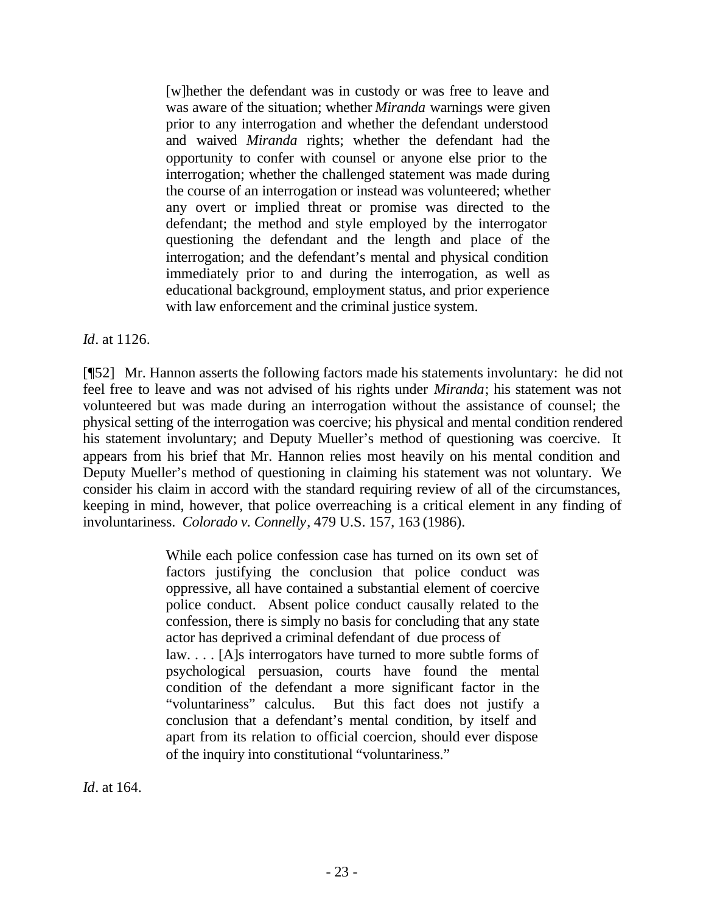[w]hether the defendant was in custody or was free to leave and was aware of the situation; whether *Miranda* warnings were given prior to any interrogation and whether the defendant understood and waived *Miranda* rights; whether the defendant had the opportunity to confer with counsel or anyone else prior to the interrogation; whether the challenged statement was made during the course of an interrogation or instead was volunteered; whether any overt or implied threat or promise was directed to the defendant; the method and style employed by the interrogator questioning the defendant and the length and place of the interrogation; and the defendant's mental and physical condition immediately prior to and during the interrogation, as well as educational background, employment status, and prior experience with law enforcement and the criminal justice system.

*Id*. at 1126.

[¶52] Mr. Hannon asserts the following factors made his statements involuntary: he did not feel free to leave and was not advised of his rights under *Miranda*; his statement was not volunteered but was made during an interrogation without the assistance of counsel; the physical setting of the interrogation was coercive; his physical and mental condition rendered his statement involuntary; and Deputy Mueller's method of questioning was coercive. It appears from his brief that Mr. Hannon relies most heavily on his mental condition and Deputy Mueller's method of questioning in claiming his statement was not voluntary. We consider his claim in accord with the standard requiring review of all of the circumstances, keeping in mind, however, that police overreaching is a critical element in any finding of involuntariness. *Colorado v. Connelly*, 479 U.S. 157, 163 (1986).

> While each police confession case has turned on its own set of factors justifying the conclusion that police conduct was oppressive, all have contained a substantial element of coercive police conduct. Absent police conduct causally related to the confession, there is simply no basis for concluding that any state actor has deprived a criminal defendant of due process of law. . . . [A]s interrogators have turned to more subtle forms of psychological persuasion, courts have found the mental condition of the defendant a more significant factor in the "voluntariness" calculus. But this fact does not justify a conclusion that a defendant's mental condition, by itself and apart from its relation to official coercion, should ever dispose of the inquiry into constitutional "voluntariness."

*Id*. at 164.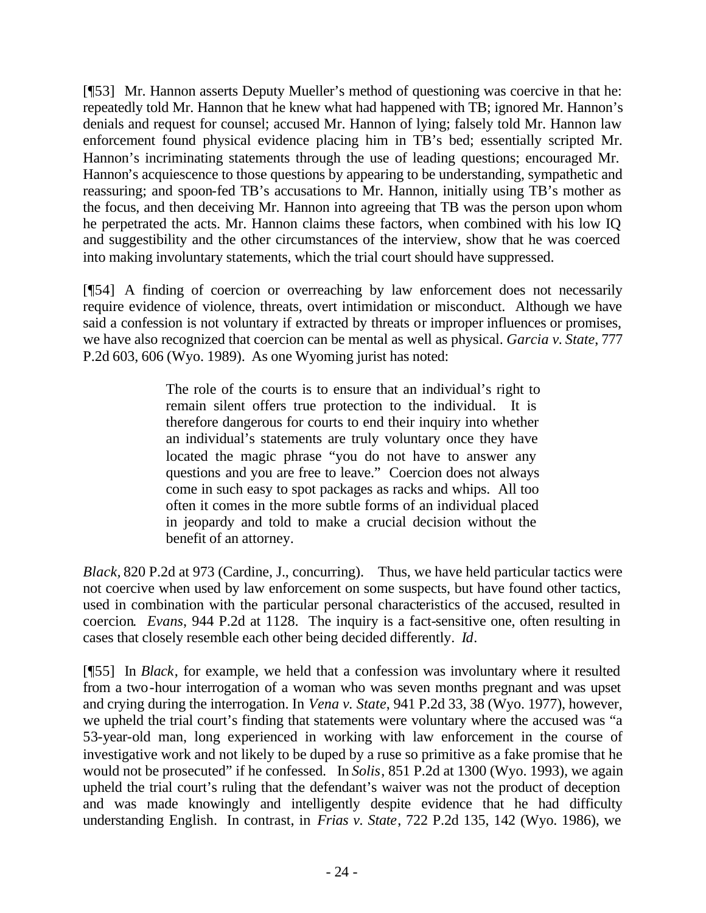[¶53] Mr. Hannon asserts Deputy Mueller's method of questioning was coercive in that he: repeatedly told Mr. Hannon that he knew what had happened with TB; ignored Mr. Hannon's denials and request for counsel; accused Mr. Hannon of lying; falsely told Mr. Hannon law enforcement found physical evidence placing him in TB's bed; essentially scripted Mr. Hannon's incriminating statements through the use of leading questions; encouraged Mr. Hannon's acquiescence to those questions by appearing to be understanding, sympathetic and reassuring; and spoon-fed TB's accusations to Mr. Hannon, initially using TB's mother as the focus, and then deceiving Mr. Hannon into agreeing that TB was the person upon whom he perpetrated the acts. Mr. Hannon claims these factors, when combined with his low IQ and suggestibility and the other circumstances of the interview, show that he was coerced into making involuntary statements, which the trial court should have suppressed.

[¶54] A finding of coercion or overreaching by law enforcement does not necessarily require evidence of violence, threats, overt intimidation or misconduct. Although we have said a confession is not voluntary if extracted by threats or improper influences or promises, we have also recognized that coercion can be mental as well as physical. *Garcia v. State*, 777 P.2d 603, 606 (Wyo. 1989). As one Wyoming jurist has noted:

> The role of the courts is to ensure that an individual's right to remain silent offers true protection to the individual. It is therefore dangerous for courts to end their inquiry into whether an individual's statements are truly voluntary once they have located the magic phrase "you do not have to answer any questions and you are free to leave." Coercion does not always come in such easy to spot packages as racks and whips. All too often it comes in the more subtle forms of an individual placed in jeopardy and told to make a crucial decision without the benefit of an attorney.

*Black,* 820 P.2d at 973 (Cardine, J., concurring). Thus, we have held particular tactics were not coercive when used by law enforcement on some suspects, but have found other tactics, used in combination with the particular personal characteristics of the accused, resulted in coercion*. Evans*, 944 P.2d at 1128. The inquiry is a fact-sensitive one, often resulting in cases that closely resemble each other being decided differently. *Id*.

[¶55] In *Black*, for example, we held that a confession was involuntary where it resulted from a two-hour interrogation of a woman who was seven months pregnant and was upset and crying during the interrogation. In *Vena v. State*, 941 P.2d 33, 38 (Wyo. 1977), however, we upheld the trial court's finding that statements were voluntary where the accused was "a 53-year-old man, long experienced in working with law enforcement in the course of investigative work and not likely to be duped by a ruse so primitive as a fake promise that he would not be prosecuted" if he confessed. In *Solis*, 851 P.2d at 1300 (Wyo. 1993), we again upheld the trial court's ruling that the defendant's waiver was not the product of deception and was made knowingly and intelligently despite evidence that he had difficulty understanding English. In contrast, in *Frias v. State*, 722 P.2d 135, 142 (Wyo. 1986), we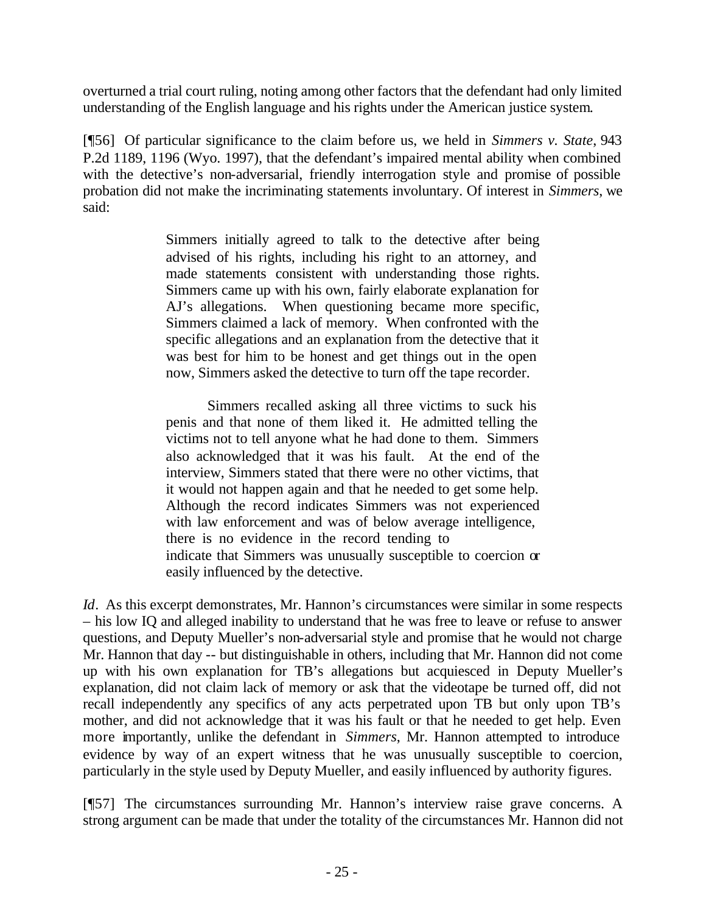overturned a trial court ruling, noting among other factors that the defendant had only limited understanding of the English language and his rights under the American justice system.

[¶56] Of particular significance to the claim before us, we held in *Simmers v. State*, 943 P.2d 1189, 1196 (Wyo. 1997), that the defendant's impaired mental ability when combined with the detective's non-adversarial, friendly interrogation style and promise of possible probation did not make the incriminating statements involuntary. Of interest in *Simmers*, we said:

> Simmers initially agreed to talk to the detective after being advised of his rights, including his right to an attorney, and made statements consistent with understanding those rights. Simmers came up with his own, fairly elaborate explanation for AJ's allegations. When questioning became more specific, Simmers claimed a lack of memory. When confronted with the specific allegations and an explanation from the detective that it was best for him to be honest and get things out in the open now, Simmers asked the detective to turn off the tape recorder.

> Simmers recalled asking all three victims to suck his penis and that none of them liked it. He admitted telling the victims not to tell anyone what he had done to them. Simmers also acknowledged that it was his fault. At the end of the interview, Simmers stated that there were no other victims, that it would not happen again and that he needed to get some help. Although the record indicates Simmers was not experienced with law enforcement and was of below average intelligence, there is no evidence in the record tending to indicate that Simmers was unusually susceptible to coercion or easily influenced by the detective.

*Id.* As this excerpt demonstrates, Mr. Hannon's circumstances were similar in some respects – his low IQ and alleged inability to understand that he was free to leave or refuse to answer questions, and Deputy Mueller's non-adversarial style and promise that he would not charge Mr. Hannon that day -- but distinguishable in others, including that Mr. Hannon did not come up with his own explanation for TB's allegations but acquiesced in Deputy Mueller's explanation, did not claim lack of memory or ask that the videotape be turned off, did not recall independently any specifics of any acts perpetrated upon TB but only upon TB's mother, and did not acknowledge that it was his fault or that he needed to get help. Even more importantly, unlike the defendant in *Simmers*, Mr. Hannon attempted to introduce evidence by way of an expert witness that he was unusually susceptible to coercion, particularly in the style used by Deputy Mueller, and easily influenced by authority figures.

[¶57] The circumstances surrounding Mr. Hannon's interview raise grave concerns. A strong argument can be made that under the totality of the circumstances Mr. Hannon did not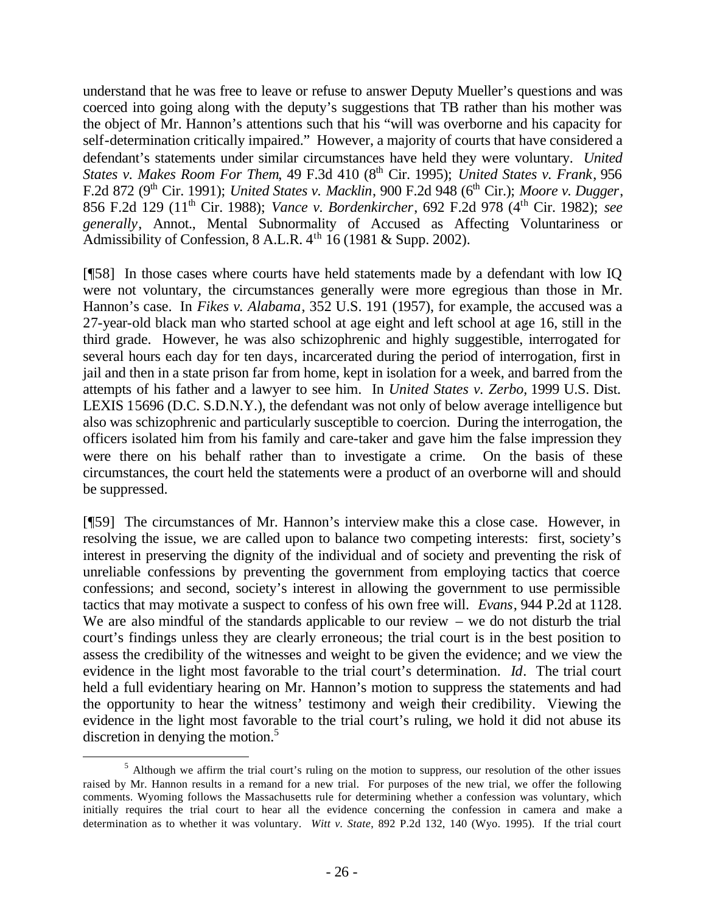understand that he was free to leave or refuse to answer Deputy Mueller's questions and was coerced into going along with the deputy's suggestions that TB rather than his mother was the object of Mr. Hannon's attentions such that his "will was overborne and his capacity for self-determination critically impaired." However, a majority of courts that have considered a defendant's statements under similar circumstances have held they were voluntary. *United States v. Makes Room For Them, 49 F.3d 410 (8<sup>th</sup> Cir. 1995); <i>United States v. Frank*, 956 F.2d 872 (9<sup>th</sup> Cir. 1991); *United States v. Macklin*, 900 F.2d 948 (6<sup>th</sup> Cir.); *Moore v. Dugger*, 856 F.2d 129 (11th Cir. 1988); *Vance v. Bordenkircher*, 692 F.2d 978 (4th Cir. 1982); *see generally*, Annot., Mental Subnormality of Accused as Affecting Voluntariness or Admissibility of Confession,  $8$  A.L.R.  $4<sup>th</sup>$  16 (1981 & Supp. 2002).

[¶58] In those cases where courts have held statements made by a defendant with low IQ were not voluntary, the circumstances generally were more egregious than those in Mr. Hannon's case. In *Fikes v. Alabama*, 352 U.S. 191 (1957), for example, the accused was a 27-year-old black man who started school at age eight and left school at age 16, still in the third grade. However, he was also schizophrenic and highly suggestible, interrogated for several hours each day for ten days, incarcerated during the period of interrogation, first in jail and then in a state prison far from home, kept in isolation for a week, and barred from the attempts of his father and a lawyer to see him. In *United States v. Zerbo,* 1999 U.S. Dist. LEXIS 15696 (D.C. S.D.N.Y.), the defendant was not only of below average intelligence but also was schizophrenic and particularly susceptible to coercion. During the interrogation, the officers isolated him from his family and care-taker and gave him the false impression they were there on his behalf rather than to investigate a crime. On the basis of these circumstances, the court held the statements were a product of an overborne will and should be suppressed.

[¶59] The circumstances of Mr. Hannon's interview make this a close case. However, in resolving the issue, we are called upon to balance two competing interests: first, society's interest in preserving the dignity of the individual and of society and preventing the risk of unreliable confessions by preventing the government from employing tactics that coerce confessions; and second, society's interest in allowing the government to use permissible tactics that may motivate a suspect to confess of his own free will. *Evans*, 944 P.2d at 1128. We are also mindful of the standards applicable to our review  $-$  we do not disturb the trial court's findings unless they are clearly erroneous; the trial court is in the best position to assess the credibility of the witnesses and weight to be given the evidence; and we view the evidence in the light most favorable to the trial court's determination. *Id*. The trial court held a full evidentiary hearing on Mr. Hannon's motion to suppress the statements and had the opportunity to hear the witness' testimony and weigh their credibility. Viewing the evidence in the light most favorable to the trial court's ruling, we hold it did not abuse its discretion in denying the motion. $5$ 

<sup>&</sup>lt;sup>5</sup> Although we affirm the trial court's ruling on the motion to suppress, our resolution of the other issues raised by Mr. Hannon results in a remand for a new trial. For purposes of the new trial, we offer the following comments. Wyoming follows the Massachusetts rule for determining whether a confession was voluntary, which initially requires the trial court to hear all the evidence concerning the confession in camera and make a determination as to whether it was voluntary. *Witt v. State*, 892 P.2d 132, 140 (Wyo. 1995). If the trial court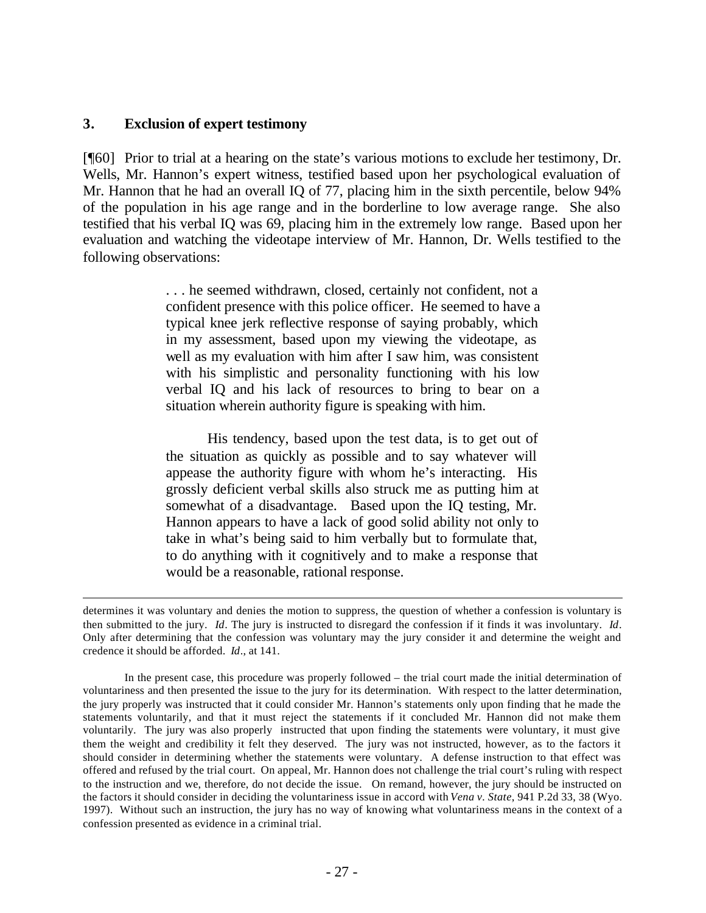#### **3. Exclusion of expert testimony**

l

[¶60] Prior to trial at a hearing on the state's various motions to exclude her testimony, Dr. Wells, Mr. Hannon's expert witness, testified based upon her psychological evaluation of Mr. Hannon that he had an overall IQ of 77, placing him in the sixth percentile, below 94% of the population in his age range and in the borderline to low average range. She also testified that his verbal IQ was 69, placing him in the extremely low range. Based upon her evaluation and watching the videotape interview of Mr. Hannon, Dr. Wells testified to the following observations:

> . . . he seemed withdrawn, closed, certainly not confident, not a confident presence with this police officer. He seemed to have a typical knee jerk reflective response of saying probably, which in my assessment, based upon my viewing the videotape, as well as my evaluation with him after I saw him, was consistent with his simplistic and personality functioning with his low verbal IQ and his lack of resources to bring to bear on a situation wherein authority figure is speaking with him.

> His tendency, based upon the test data, is to get out of the situation as quickly as possible and to say whatever will appease the authority figure with whom he's interacting. His grossly deficient verbal skills also struck me as putting him at somewhat of a disadvantage. Based upon the IQ testing, Mr. Hannon appears to have a lack of good solid ability not only to take in what's being said to him verbally but to formulate that, to do anything with it cognitively and to make a response that would be a reasonable, rational response.

determines it was voluntary and denies the motion to suppress, the question of whether a confession is voluntary is then submitted to the jury. *Id*. The jury is instructed to disregard the confession if it finds it was involuntary. *Id*. Only after determining that the confession was voluntary may the jury consider it and determine the weight and credence it should be afforded. *Id*., at 141.

In the present case, this procedure was properly followed – the trial court made the initial determination of voluntariness and then presented the issue to the jury for its determination. With respect to the latter determination, the jury properly was instructed that it could consider Mr. Hannon's statements only upon finding that he made the statements voluntarily, and that it must reject the statements if it concluded Mr. Hannon did not make them voluntarily. The jury was also properly instructed that upon finding the statements were voluntary, it must give them the weight and credibility it felt they deserved. The jury was not instructed, however, as to the factors it should consider in determining whether the statements were voluntary. A defense instruction to that effect was offered and refused by the trial court. On appeal, Mr. Hannon does not challenge the trial court's ruling with respect to the instruction and we, therefore, do not decide the issue. On remand, however, the jury should be instructed on the factors it should consider in deciding the voluntariness issue in accord with *Vena v. State*, 941 P.2d 33, 38 (Wyo. 1997). Without such an instruction, the jury has no way of knowing what voluntariness means in the context of a confession presented as evidence in a criminal trial.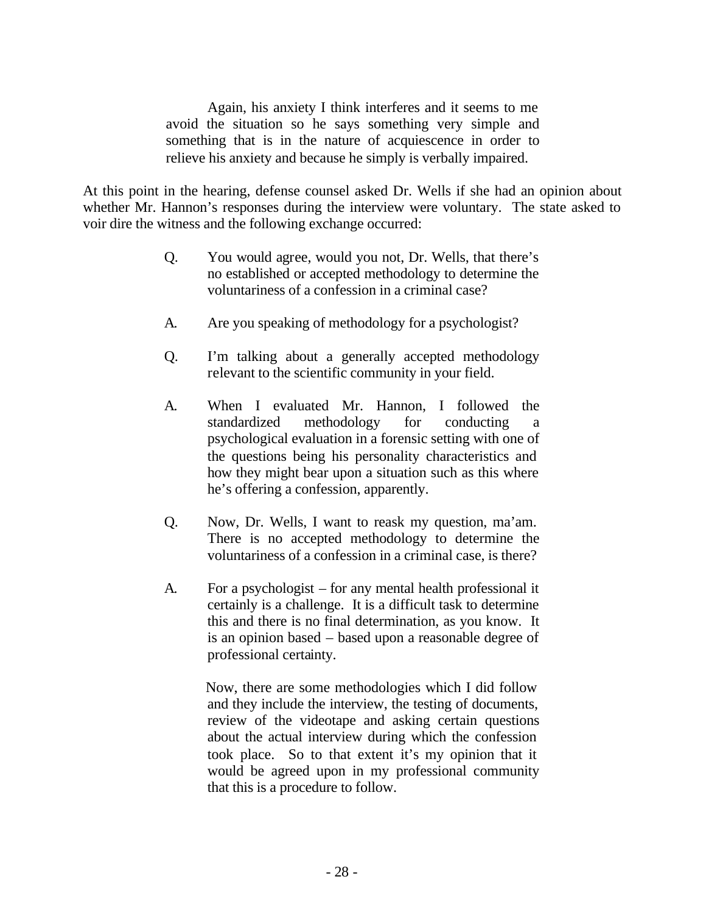Again, his anxiety I think interferes and it seems to me avoid the situation so he says something very simple and something that is in the nature of acquiescence in order to relieve his anxiety and because he simply is verbally impaired.

At this point in the hearing, defense counsel asked Dr. Wells if she had an opinion about whether Mr. Hannon's responses during the interview were voluntary. The state asked to voir dire the witness and the following exchange occurred:

- Q. You would agree, would you not, Dr. Wells, that there's no established or accepted methodology to determine the voluntariness of a confession in a criminal case?
- A. Are you speaking of methodology for a psychologist?
- Q. I'm talking about a generally accepted methodology relevant to the scientific community in your field.
- A. When I evaluated Mr. Hannon, I followed the standardized methodology for conducting a psychological evaluation in a forensic setting with one of the questions being his personality characteristics and how they might bear upon a situation such as this where he's offering a confession, apparently.
- Q. Now, Dr. Wells, I want to reask my question, ma'am. There is no accepted methodology to determine the voluntariness of a confession in a criminal case, is there?
- A. For a psychologist for any mental health professional it certainly is a challenge. It is a difficult task to determine this and there is no final determination, as you know. It is an opinion based – based upon a reasonable degree of professional certainty.

Now, there are some methodologies which I did follow and they include the interview, the testing of documents, review of the videotape and asking certain questions about the actual interview during which the confession took place. So to that extent it's my opinion that it would be agreed upon in my professional community that this is a procedure to follow.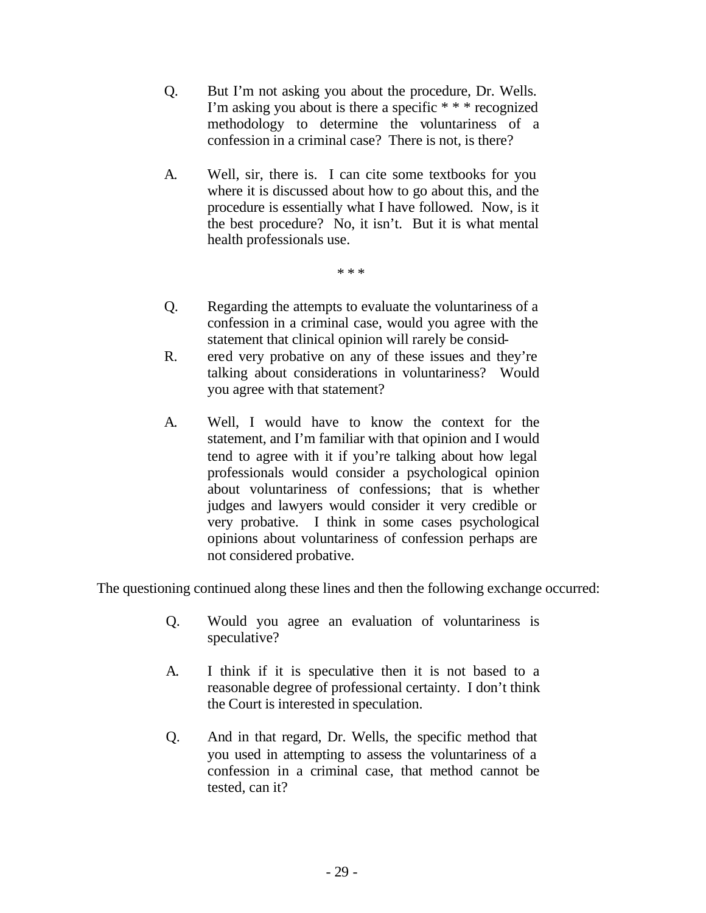- Q. But I'm not asking you about the procedure, Dr. Wells. I'm asking you about is there a specific \* \* \* recognized methodology to determine the voluntariness of a confession in a criminal case? There is not, is there?
- A. Well, sir, there is. I can cite some textbooks for you where it is discussed about how to go about this, and the procedure is essentially what I have followed. Now, is it the best procedure? No, it isn't. But it is what mental health professionals use.

\* \* \*

- Q. Regarding the attempts to evaluate the voluntariness of a confession in a criminal case, would you agree with the statement that clinical opinion will rarely be consid-
- R. ered very probative on any of these issues and they're talking about considerations in voluntariness? Would you agree with that statement?
- A. Well, I would have to know the context for the statement, and I'm familiar with that opinion and I would tend to agree with it if you're talking about how legal professionals would consider a psychological opinion about voluntariness of confessions; that is whether judges and lawyers would consider it very credible or very probative. I think in some cases psychological opinions about voluntariness of confession perhaps are not considered probative.

The questioning continued along these lines and then the following exchange occurred:

- Q. Would you agree an evaluation of voluntariness is speculative?
- A. I think if it is speculative then it is not based to a reasonable degree of professional certainty. I don't think the Court is interested in speculation.
- Q. And in that regard, Dr. Wells, the specific method that you used in attempting to assess the voluntariness of a confession in a criminal case, that method cannot be tested, can it?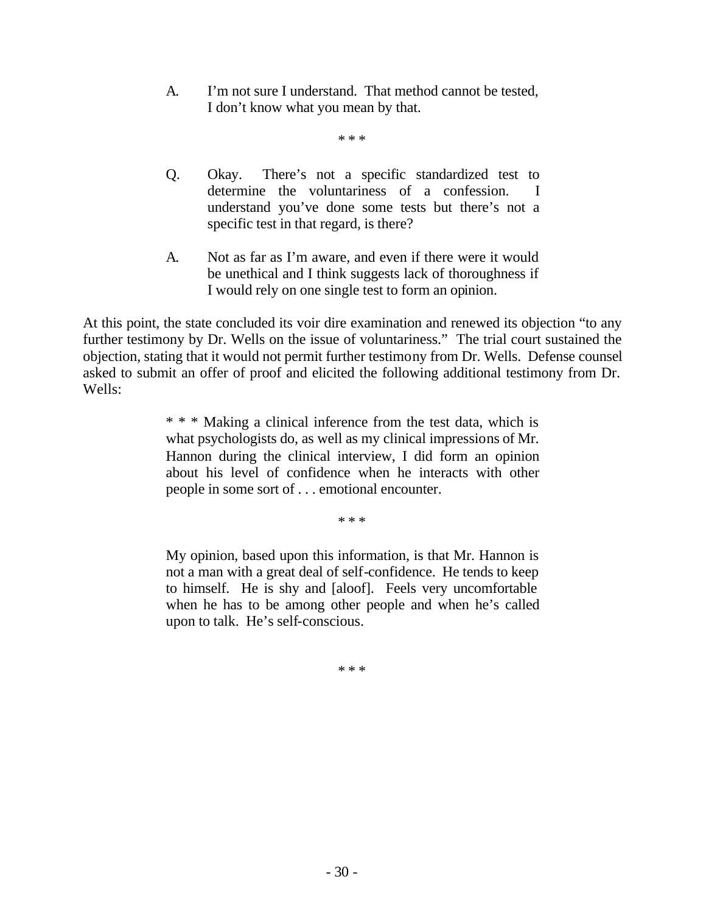A. I'm not sure I understand. That method cannot be tested, I don't know what you mean by that.

\* \* \*

- Q. Okay. There's not a specific standardized test to determine the voluntariness of a confession. I understand you've done some tests but there's not a specific test in that regard, is there?
- A. Not as far as I'm aware, and even if there were it would be unethical and I think suggests lack of thoroughness if I would rely on one single test to form an opinion.

At this point, the state concluded its voir dire examination and renewed its objection "to any further testimony by Dr. Wells on the issue of voluntariness." The trial court sustained the objection, stating that it would not permit further testimony from Dr. Wells. Defense counsel asked to submit an offer of proof and elicited the following additional testimony from Dr. Wells:

> \* \* \* Making a clinical inference from the test data, which is what psychologists do, as well as my clinical impressions of Mr. Hannon during the clinical interview, I did form an opinion about his level of confidence when he interacts with other people in some sort of . . . emotional encounter.

> > \* \* \*

My opinion, based upon this information, is that Mr. Hannon is not a man with a great deal of self-confidence. He tends to keep to himself. He is shy and [aloof]. Feels very uncomfortable when he has to be among other people and when he's called upon to talk. He's self-conscious.

\* \* \*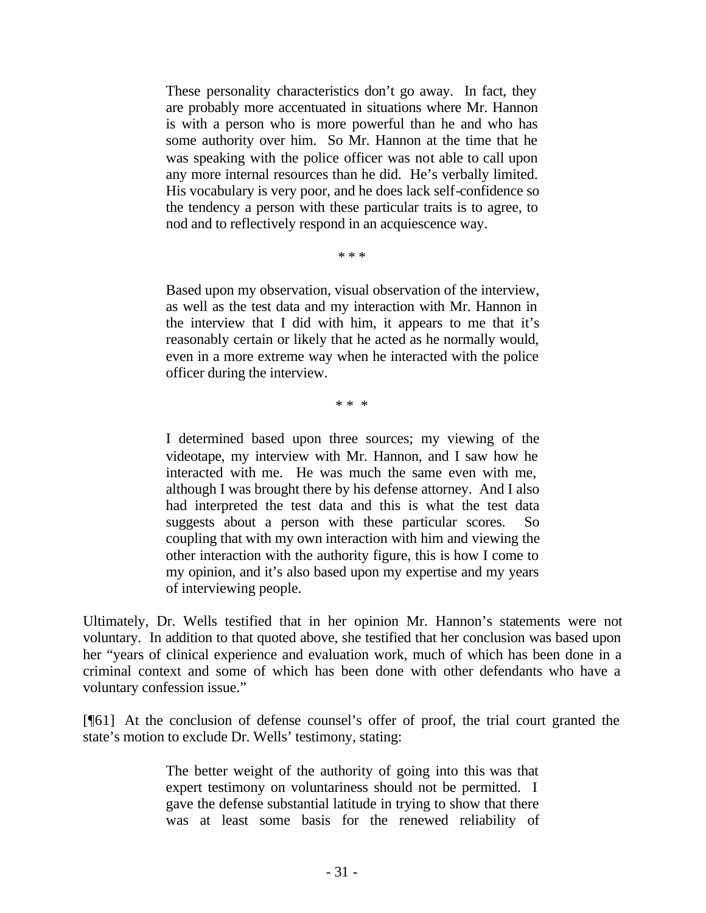These personality characteristics don't go away. In fact, they are probably more accentuated in situations where Mr. Hannon is with a person who is more powerful than he and who has some authority over him. So Mr. Hannon at the time that he was speaking with the police officer was not able to call upon any more internal resources than he did. He's verbally limited. His vocabulary is very poor, and he does lack self-confidence so the tendency a person with these particular traits is to agree, to nod and to reflectively respond in an acquiescence way.

\* \* \*

Based upon my observation, visual observation of the interview, as well as the test data and my interaction with Mr. Hannon in the interview that I did with him, it appears to me that it's reasonably certain or likely that he acted as he normally would, even in a more extreme way when he interacted with the police officer during the interview.

\* \* \*

I determined based upon three sources; my viewing of the videotape, my interview with Mr. Hannon, and I saw how he interacted with me. He was much the same even with me, although I was brought there by his defense attorney. And I also had interpreted the test data and this is what the test data suggests about a person with these particular scores. So coupling that with my own interaction with him and viewing the other interaction with the authority figure, this is how I come to my opinion, and it's also based upon my expertise and my years of interviewing people.

Ultimately, Dr. Wells testified that in her opinion Mr. Hannon's statements were not voluntary. In addition to that quoted above, she testified that her conclusion was based upon her "years of clinical experience and evaluation work, much of which has been done in a criminal context and some of which has been done with other defendants who have a voluntary confession issue."

[¶61] At the conclusion of defense counsel's offer of proof, the trial court granted the state's motion to exclude Dr. Wells' testimony, stating:

> The better weight of the authority of going into this was that expert testimony on voluntariness should not be permitted. I gave the defense substantial latitude in trying to show that there was at least some basis for the renewed reliability of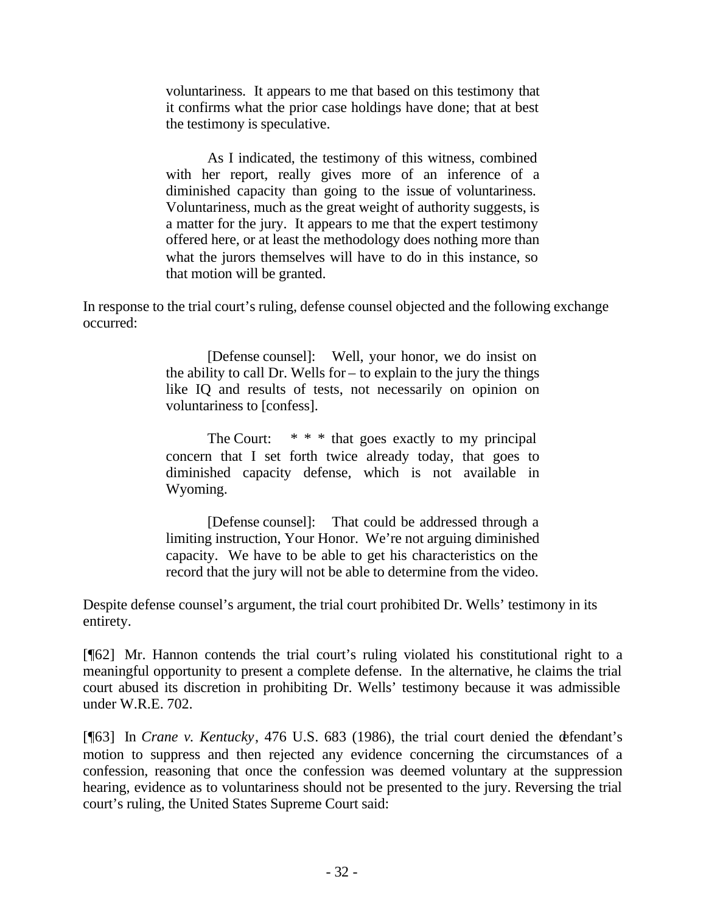voluntariness. It appears to me that based on this testimony that it confirms what the prior case holdings have done; that at best the testimony is speculative.

As I indicated, the testimony of this witness, combined with her report, really gives more of an inference of a diminished capacity than going to the issue of voluntariness. Voluntariness, much as the great weight of authority suggests, is a matter for the jury. It appears to me that the expert testimony offered here, or at least the methodology does nothing more than what the jurors themselves will have to do in this instance, so that motion will be granted.

In response to the trial court's ruling, defense counsel objected and the following exchange occurred:

> [Defense counsel]: Well, your honor, we do insist on the ability to call Dr. Wells for – to explain to the jury the things like IQ and results of tests, not necessarily on opinion on voluntariness to [confess].

> The Court:  $* * *$  that goes exactly to my principal concern that I set forth twice already today, that goes to diminished capacity defense, which is not available in Wyoming.

> [Defense counsel]: That could be addressed through a limiting instruction, Your Honor. We're not arguing diminished capacity. We have to be able to get his characteristics on the record that the jury will not be able to determine from the video.

Despite defense counsel's argument, the trial court prohibited Dr. Wells' testimony in its entirety.

[¶62] Mr. Hannon contends the trial court's ruling violated his constitutional right to a meaningful opportunity to present a complete defense. In the alternative, he claims the trial court abused its discretion in prohibiting Dr. Wells' testimony because it was admissible under W.R.E. 702.

[¶63] In *Crane v. Kentucky*, 476 U.S. 683 (1986), the trial court denied the defendant's motion to suppress and then rejected any evidence concerning the circumstances of a confession, reasoning that once the confession was deemed voluntary at the suppression hearing, evidence as to voluntariness should not be presented to the jury. Reversing the trial court's ruling, the United States Supreme Court said: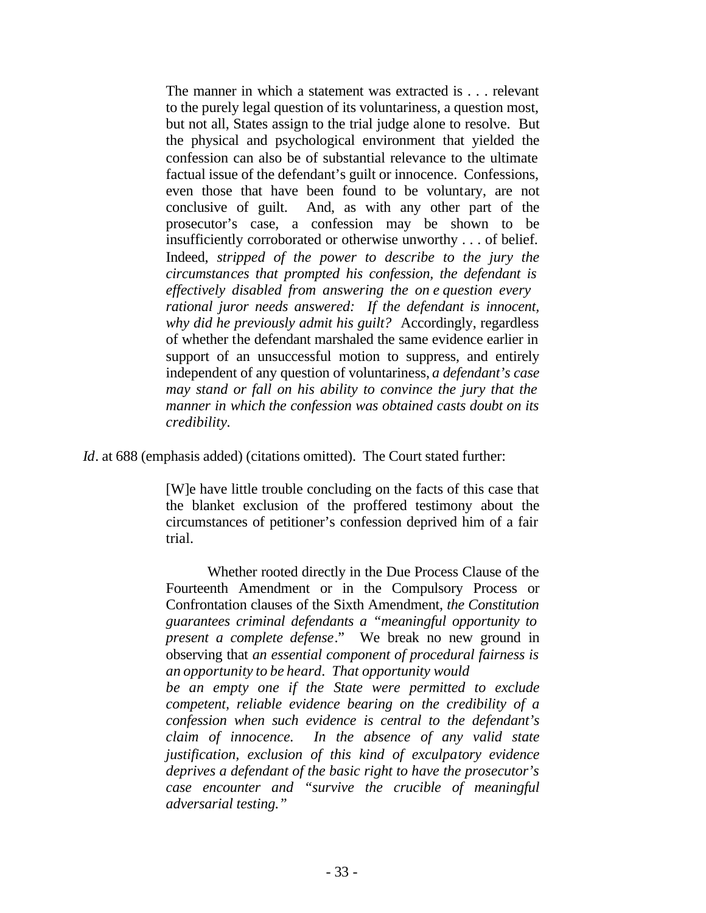The manner in which a statement was extracted is . . . relevant to the purely legal question of its voluntariness, a question most, but not all, States assign to the trial judge alone to resolve. But the physical and psychological environment that yielded the confession can also be of substantial relevance to the ultimate factual issue of the defendant's guilt or innocence. Confessions, even those that have been found to be voluntary, are not conclusive of guilt. And, as with any other part of the prosecutor's case, a confession may be shown to be insufficiently corroborated or otherwise unworthy . . . of belief. Indeed, *stripped of the power to describe to the jury the circumstances that prompted his confession, the defendant is effectively disabled from answering the on e question every rational juror needs answered: If the defendant is innocent, why did he previously admit his guilt?* Accordingly, regardless of whether the defendant marshaled the same evidence earlier in support of an unsuccessful motion to suppress, and entirely independent of any question of voluntariness, *a defendant's case may stand or fall on his ability to convince the jury that the manner in which the confession was obtained casts doubt on its credibility.*

*Id*. at 688 (emphasis added) (citations omitted). The Court stated further:

[W]e have little trouble concluding on the facts of this case that the blanket exclusion of the proffered testimony about the circumstances of petitioner's confession deprived him of a fair trial.

Whether rooted directly in the Due Process Clause of the Fourteenth Amendment or in the Compulsory Process or Confrontation clauses of the Sixth Amendment, *the Constitution guarantees criminal defendants a "meaningful opportunity to present a complete defense*." We break no new ground in observing that *an essential component of procedural fairness is an opportunity to be heard*. *That opportunity would be an empty one if the State were permitted to exclude*

*competent, reliable evidence bearing on the credibility of a confession when such evidence is central to the defendant's claim of innocence. In the absence of any valid state justification, exclusion of this kind of exculpatory evidence deprives a defendant of the basic right to have the prosecutor's case encounter and "survive the crucible of meaningful adversarial testing."*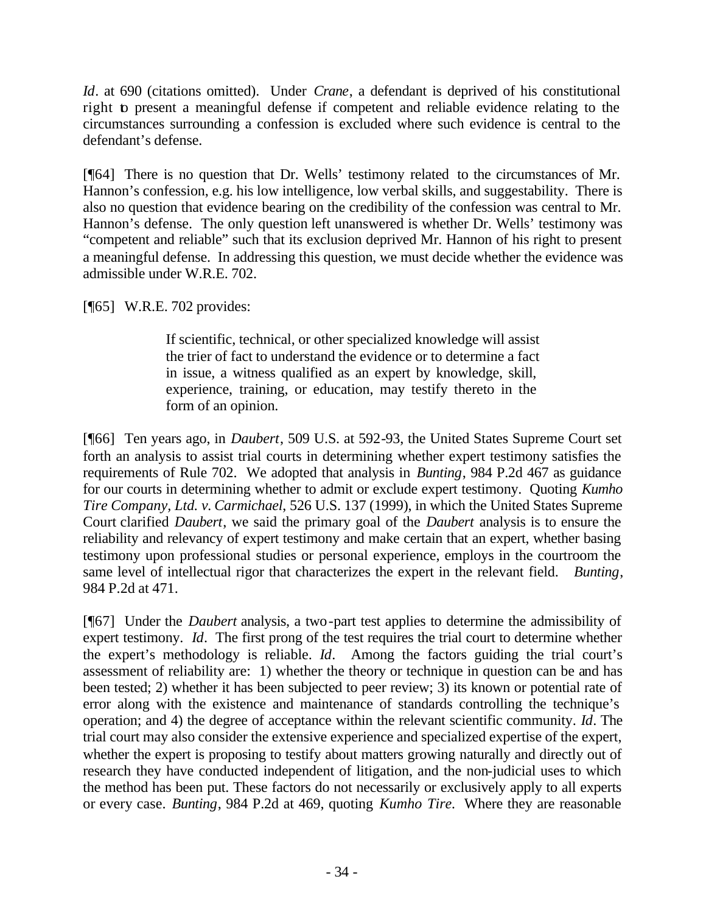*Id*. at 690 (citations omitted). Under *Crane*, a defendant is deprived of his constitutional right to present a meaningful defense if competent and reliable evidence relating to the circumstances surrounding a confession is excluded where such evidence is central to the defendant's defense.

[¶64] There is no question that Dr. Wells' testimony related to the circumstances of Mr. Hannon's confession, e.g. his low intelligence, low verbal skills, and suggestability. There is also no question that evidence bearing on the credibility of the confession was central to Mr. Hannon's defense. The only question left unanswered is whether Dr. Wells' testimony was "competent and reliable" such that its exclusion deprived Mr. Hannon of his right to present a meaningful defense. In addressing this question, we must decide whether the evidence was admissible under W.R.E. 702.

[¶65] W.R.E. 702 provides:

If scientific, technical, or other specialized knowledge will assist the trier of fact to understand the evidence or to determine a fact in issue, a witness qualified as an expert by knowledge, skill, experience, training, or education, may testify thereto in the form of an opinion.

[¶66] Ten years ago, in *Daubert*, 509 U.S. at 592-93, the United States Supreme Court set forth an analysis to assist trial courts in determining whether expert testimony satisfies the requirements of Rule 702. We adopted that analysis in *Bunting*, 984 P.2d 467 as guidance for our courts in determining whether to admit or exclude expert testimony. Quoting *Kumho Tire Company, Ltd. v. Carmichael*, 526 U.S. 137 (1999), in which the United States Supreme Court clarified *Daubert*, we said the primary goal of the *Daubert* analysis is to ensure the reliability and relevancy of expert testimony and make certain that an expert, whether basing testimony upon professional studies or personal experience, employs in the courtroom the same level of intellectual rigor that characterizes the expert in the relevant field. *Bunting*, 984 P.2d at 471.

[¶67] Under the *Daubert* analysis, a two-part test applies to determine the admissibility of expert testimony. *Id*. The first prong of the test requires the trial court to determine whether the expert's methodology is reliable. *Id*. Among the factors guiding the trial court's assessment of reliability are: 1) whether the theory or technique in question can be and has been tested; 2) whether it has been subjected to peer review; 3) its known or potential rate of error along with the existence and maintenance of standards controlling the technique's operation; and 4) the degree of acceptance within the relevant scientific community. *Id*. The trial court may also consider the extensive experience and specialized expertise of the expert, whether the expert is proposing to testify about matters growing naturally and directly out of research they have conducted independent of litigation, and the non-judicial uses to which the method has been put. These factors do not necessarily or exclusively apply to all experts or every case. *Bunting*, 984 P.2d at 469, quoting *Kumho Tire.* Where they are reasonable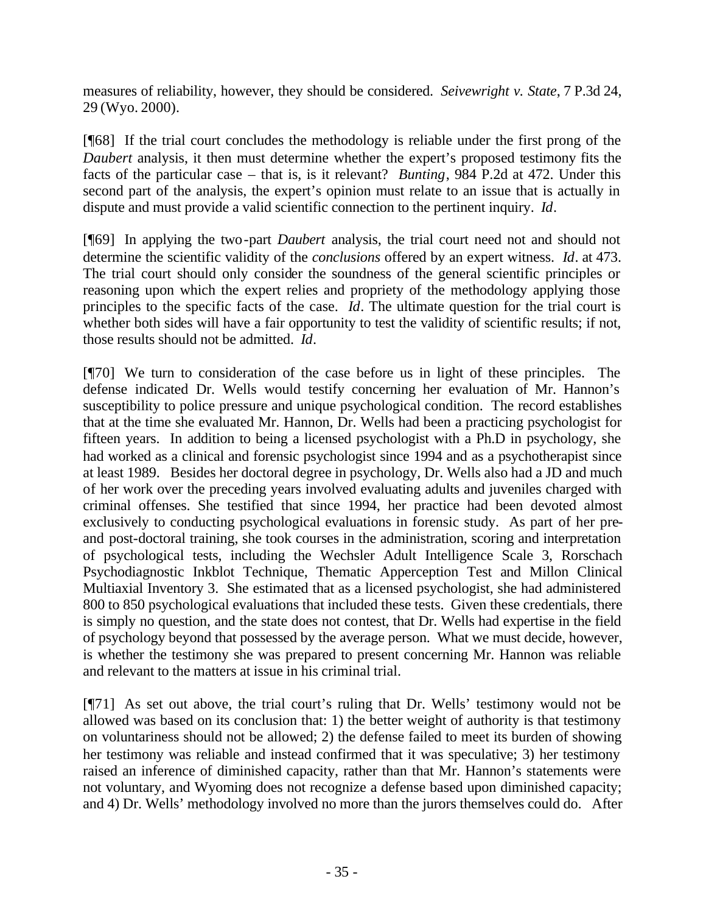measures of reliability, however, they should be considered. *Seivewright v. State*, 7 P.3d 24, 29 (Wyo. 2000).

[¶68] If the trial court concludes the methodology is reliable under the first prong of the *Daubert* analysis, it then must determine whether the expert's proposed testimony fits the facts of the particular case – that is, is it relevant? *Bunting*, 984 P.2d at 472. Under this second part of the analysis, the expert's opinion must relate to an issue that is actually in dispute and must provide a valid scientific connection to the pertinent inquiry. *Id*.

[¶69] In applying the two-part *Daubert* analysis, the trial court need not and should not determine the scientific validity of the *conclusions* offered by an expert witness. *Id*. at 473. The trial court should only consider the soundness of the general scientific principles or reasoning upon which the expert relies and propriety of the methodology applying those principles to the specific facts of the case. *Id*. The ultimate question for the trial court is whether both sides will have a fair opportunity to test the validity of scientific results; if not, those results should not be admitted. *Id*.

[¶70] We turn to consideration of the case before us in light of these principles. The defense indicated Dr. Wells would testify concerning her evaluation of Mr. Hannon's susceptibility to police pressure and unique psychological condition. The record establishes that at the time she evaluated Mr. Hannon, Dr. Wells had been a practicing psychologist for fifteen years. In addition to being a licensed psychologist with a Ph.D in psychology, she had worked as a clinical and forensic psychologist since 1994 and as a psychotherapist since at least 1989. Besides her doctoral degree in psychology, Dr. Wells also had a JD and much of her work over the preceding years involved evaluating adults and juveniles charged with criminal offenses. She testified that since 1994, her practice had been devoted almost exclusively to conducting psychological evaluations in forensic study. As part of her preand post-doctoral training, she took courses in the administration, scoring and interpretation of psychological tests, including the Wechsler Adult Intelligence Scale 3, Rorschach Psychodiagnostic Inkblot Technique, Thematic Apperception Test and Millon Clinical Multiaxial Inventory 3. She estimated that as a licensed psychologist, she had administered 800 to 850 psychological evaluations that included these tests. Given these credentials, there is simply no question, and the state does not contest, that Dr. Wells had expertise in the field of psychology beyond that possessed by the average person. What we must decide, however, is whether the testimony she was prepared to present concerning Mr. Hannon was reliable and relevant to the matters at issue in his criminal trial.

[¶71] As set out above, the trial court's ruling that Dr. Wells' testimony would not be allowed was based on its conclusion that: 1) the better weight of authority is that testimony on voluntariness should not be allowed; 2) the defense failed to meet its burden of showing her testimony was reliable and instead confirmed that it was speculative; 3) her testimony raised an inference of diminished capacity, rather than that Mr. Hannon's statements were not voluntary, and Wyoming does not recognize a defense based upon diminished capacity; and 4) Dr. Wells' methodology involved no more than the jurors themselves could do. After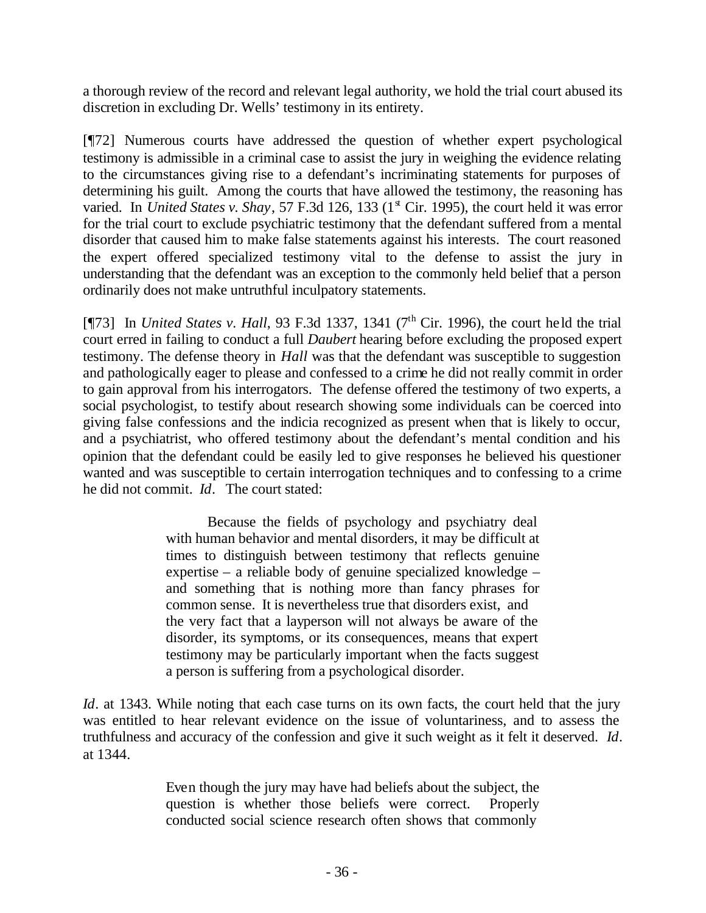a thorough review of the record and relevant legal authority, we hold the trial court abused its discretion in excluding Dr. Wells' testimony in its entirety.

[¶72] Numerous courts have addressed the question of whether expert psychological testimony is admissible in a criminal case to assist the jury in weighing the evidence relating to the circumstances giving rise to a defendant's incriminating statements for purposes of determining his guilt. Among the courts that have allowed the testimony, the reasoning has varied. In *United States v. Shay*, 57 F.3d 126, 133 (1<sup>st</sup> Cir. 1995), the court held it was error for the trial court to exclude psychiatric testimony that the defendant suffered from a mental disorder that caused him to make false statements against his interests. The court reasoned the expert offered specialized testimony vital to the defense to assist the jury in understanding that the defendant was an exception to the commonly held belief that a person ordinarily does not make untruthful inculpatory statements.

[¶73] In *United States v. Hall*, 93 F.3d 1337, 1341 (7<sup>th</sup> Cir. 1996), the court held the trial court erred in failing to conduct a full *Daubert* hearing before excluding the proposed expert testimony. The defense theory in *Hall* was that the defendant was susceptible to suggestion and pathologically eager to please and confessed to a crime he did not really commit in order to gain approval from his interrogators. The defense offered the testimony of two experts, a social psychologist, to testify about research showing some individuals can be coerced into giving false confessions and the indicia recognized as present when that is likely to occur, and a psychiatrist, who offered testimony about the defendant's mental condition and his opinion that the defendant could be easily led to give responses he believed his questioner wanted and was susceptible to certain interrogation techniques and to confessing to a crime he did not commit. *Id*. The court stated:

> Because the fields of psychology and psychiatry deal with human behavior and mental disorders, it may be difficult at times to distinguish between testimony that reflects genuine expertise – a reliable body of genuine specialized knowledge – and something that is nothing more than fancy phrases for common sense. It is nevertheless true that disorders exist, and the very fact that a layperson will not always be aware of the disorder, its symptoms, or its consequences, means that expert testimony may be particularly important when the facts suggest a person is suffering from a psychological disorder.

*Id*. at 1343. While noting that each case turns on its own facts, the court held that the jury was entitled to hear relevant evidence on the issue of voluntariness, and to assess the truthfulness and accuracy of the confession and give it such weight as it felt it deserved. *Id*. at 1344.

> Even though the jury may have had beliefs about the subject, the question is whether those beliefs were correct. Properly conducted social science research often shows that commonly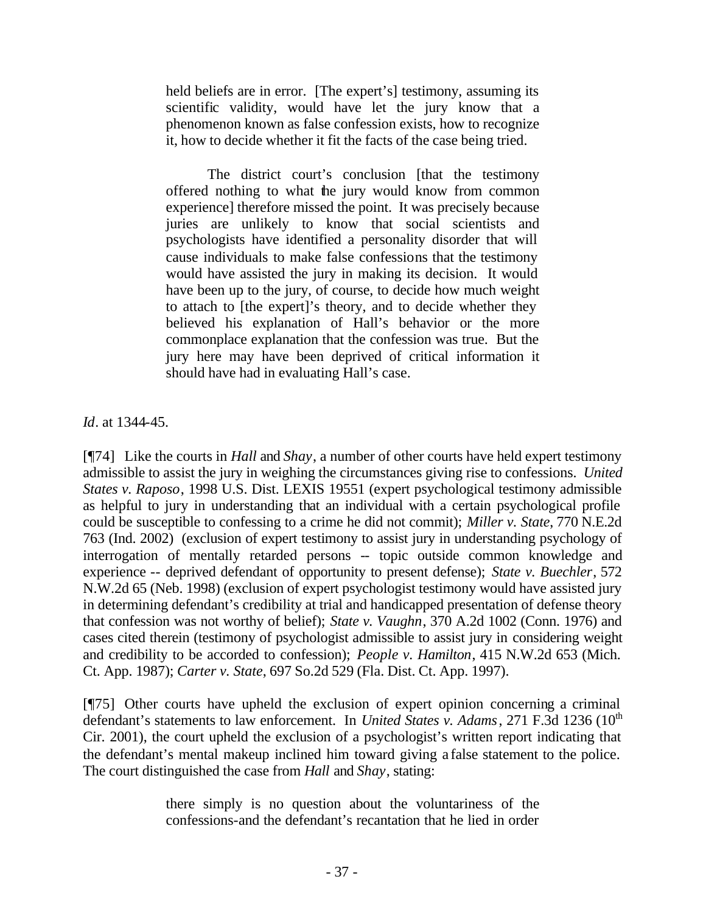held beliefs are in error. [The expert's] testimony, assuming its scientific validity, would have let the jury know that a phenomenon known as false confession exists, how to recognize it, how to decide whether it fit the facts of the case being tried.

The district court's conclusion [that the testimony offered nothing to what the jury would know from common experience] therefore missed the point. It was precisely because juries are unlikely to know that social scientists and psychologists have identified a personality disorder that will cause individuals to make false confessions that the testimony would have assisted the jury in making its decision. It would have been up to the jury, of course, to decide how much weight to attach to [the expert]'s theory, and to decide whether they believed his explanation of Hall's behavior or the more commonplace explanation that the confession was true. But the jury here may have been deprived of critical information it should have had in evaluating Hall's case.

*Id*. at 1344-45.

[¶74] Like the courts in *Hall* and *Shay*, a number of other courts have held expert testimony admissible to assist the jury in weighing the circumstances giving rise to confessions. *United States v. Raposo*, 1998 U.S. Dist. LEXIS 19551 (expert psychological testimony admissible as helpful to jury in understanding that an individual with a certain psychological profile could be susceptible to confessing to a crime he did not commit); *Miller v. State*, 770 N.E.2d 763 (Ind. 2002) (exclusion of expert testimony to assist jury in understanding psychology of interrogation of mentally retarded persons -- topic outside common knowledge and experience -- deprived defendant of opportunity to present defense); *State v. Buechler*, 572 N.W.2d 65 (Neb. 1998) (exclusion of expert psychologist testimony would have assisted jury in determining defendant's credibility at trial and handicapped presentation of defense theory that confession was not worthy of belief); *State v. Vaughn*, 370 A.2d 1002 (Conn. 1976) and cases cited therein (testimony of psychologist admissible to assist jury in considering weight and credibility to be accorded to confession); *People v. Hamilton*, 415 N.W.2d 653 (Mich. Ct. App. 1987); *Carter v. State*, 697 So.2d 529 (Fla. Dist. Ct. App. 1997).

[¶75] Other courts have upheld the exclusion of expert opinion concerning a criminal defendant's statements to law enforcement. In *United States v. Adams*, 271 F.3d 1236 (10<sup>th</sup>) Cir. 2001), the court upheld the exclusion of a psychologist's written report indicating that the defendant's mental makeup inclined him toward giving a false statement to the police. The court distinguished the case from *Hall* and *Shay*, stating:

> there simply is no question about the voluntariness of the confessions-and the defendant's recantation that he lied in order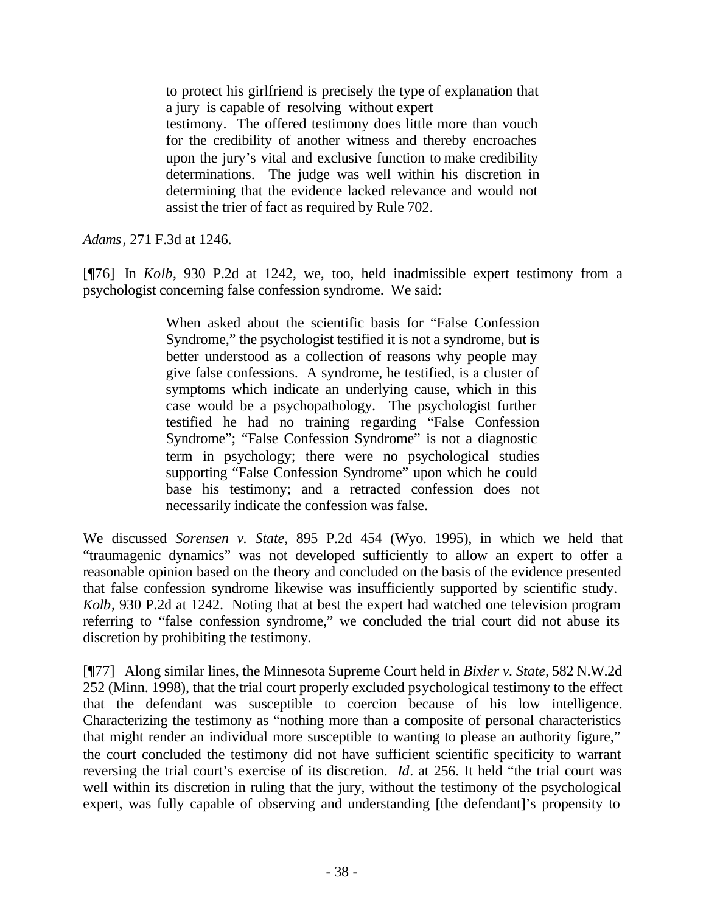to protect his girlfriend is precisely the type of explanation that a jury is capable of resolving without expert testimony. The offered testimony does little more than vouch for the credibility of another witness and thereby encroaches upon the jury's vital and exclusive function to make credibility determinations. The judge was well within his discretion in determining that the evidence lacked relevance and would not assist the trier of fact as required by Rule 702.

*Adams*, 271 F.3d at 1246.

[¶76] In *Kolb*, 930 P.2d at 1242, we, too, held inadmissible expert testimony from a psychologist concerning false confession syndrome. We said:

> When asked about the scientific basis for "False Confession Syndrome," the psychologist testified it is not a syndrome, but is better understood as a collection of reasons why people may give false confessions. A syndrome, he testified, is a cluster of symptoms which indicate an underlying cause, which in this case would be a psychopathology. The psychologist further testified he had no training regarding "False Confession Syndrome"; "False Confession Syndrome" is not a diagnostic term in psychology; there were no psychological studies supporting "False Confession Syndrome" upon which he could base his testimony; and a retracted confession does not necessarily indicate the confession was false.

We discussed *Sorensen v. State*, 895 P.2d 454 (Wyo. 1995), in which we held that "traumagenic dynamics" was not developed sufficiently to allow an expert to offer a reasonable opinion based on the theory and concluded on the basis of the evidence presented that false confession syndrome likewise was insufficiently supported by scientific study. *Kolb*, 930 P.2d at 1242. Noting that at best the expert had watched one television program referring to "false confession syndrome," we concluded the trial court did not abuse its discretion by prohibiting the testimony.

[¶77] Along similar lines, the Minnesota Supreme Court held in *Bixler v. State*, 582 N.W.2d 252 (Minn. 1998), that the trial court properly excluded psychological testimony to the effect that the defendant was susceptible to coercion because of his low intelligence. Characterizing the testimony as "nothing more than a composite of personal characteristics that might render an individual more susceptible to wanting to please an authority figure," the court concluded the testimony did not have sufficient scientific specificity to warrant reversing the trial court's exercise of its discretion. *Id*. at 256. It held "the trial court was well within its discretion in ruling that the jury, without the testimony of the psychological expert, was fully capable of observing and understanding [the defendant]'s propensity to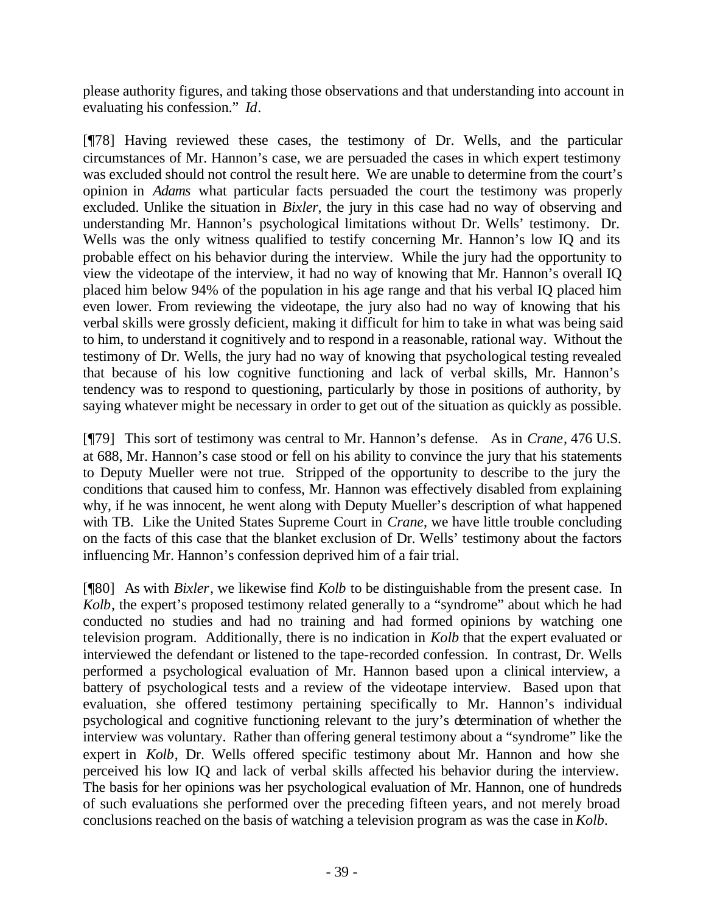please authority figures, and taking those observations and that understanding into account in evaluating his confession." *Id*.

[¶78] Having reviewed these cases, the testimony of Dr. Wells, and the particular circumstances of Mr. Hannon's case, we are persuaded the cases in which expert testimony was excluded should not control the result here. We are unable to determine from the court's opinion in *Adams* what particular facts persuaded the court the testimony was properly excluded. Unlike the situation in *Bixler*, the jury in this case had no way of observing and understanding Mr. Hannon's psychological limitations without Dr. Wells' testimony. Dr. Wells was the only witness qualified to testify concerning Mr. Hannon's low IQ and its probable effect on his behavior during the interview. While the jury had the opportunity to view the videotape of the interview, it had no way of knowing that Mr. Hannon's overall IQ placed him below 94% of the population in his age range and that his verbal IQ placed him even lower. From reviewing the videotape, the jury also had no way of knowing that his verbal skills were grossly deficient, making it difficult for him to take in what was being said to him, to understand it cognitively and to respond in a reasonable, rational way. Without the testimony of Dr. Wells, the jury had no way of knowing that psychological testing revealed that because of his low cognitive functioning and lack of verbal skills, Mr. Hannon's tendency was to respond to questioning, particularly by those in positions of authority, by saying whatever might be necessary in order to get out of the situation as quickly as possible.

[¶79] This sort of testimony was central to Mr. Hannon's defense. As in *Crane*, 476 U.S. at 688, Mr. Hannon's case stood or fell on his ability to convince the jury that his statements to Deputy Mueller were not true. Stripped of the opportunity to describe to the jury the conditions that caused him to confess, Mr. Hannon was effectively disabled from explaining why, if he was innocent, he went along with Deputy Mueller's description of what happened with TB. Like the United States Supreme Court in *Crane*, we have little trouble concluding on the facts of this case that the blanket exclusion of Dr. Wells' testimony about the factors influencing Mr. Hannon's confession deprived him of a fair trial.

[¶80] As with *Bixler*, we likewise find *Kolb* to be distinguishable from the present case. In *Kolb*, the expert's proposed testimony related generally to a "syndrome" about which he had conducted no studies and had no training and had formed opinions by watching one television program. Additionally, there is no indication in *Kolb* that the expert evaluated or interviewed the defendant or listened to the tape-recorded confession. In contrast, Dr. Wells performed a psychological evaluation of Mr. Hannon based upon a clinical interview, a battery of psychological tests and a review of the videotape interview. Based upon that evaluation, she offered testimony pertaining specifically to Mr. Hannon's individual psychological and cognitive functioning relevant to the jury's determination of whether the interview was voluntary. Rather than offering general testimony about a "syndrome" like the expert in *Kolb*, Dr. Wells offered specific testimony about Mr. Hannon and how she perceived his low IQ and lack of verbal skills affected his behavior during the interview. The basis for her opinions was her psychological evaluation of Mr. Hannon, one of hundreds of such evaluations she performed over the preceding fifteen years, and not merely broad conclusions reached on the basis of watching a television program as was the case in *Kolb*.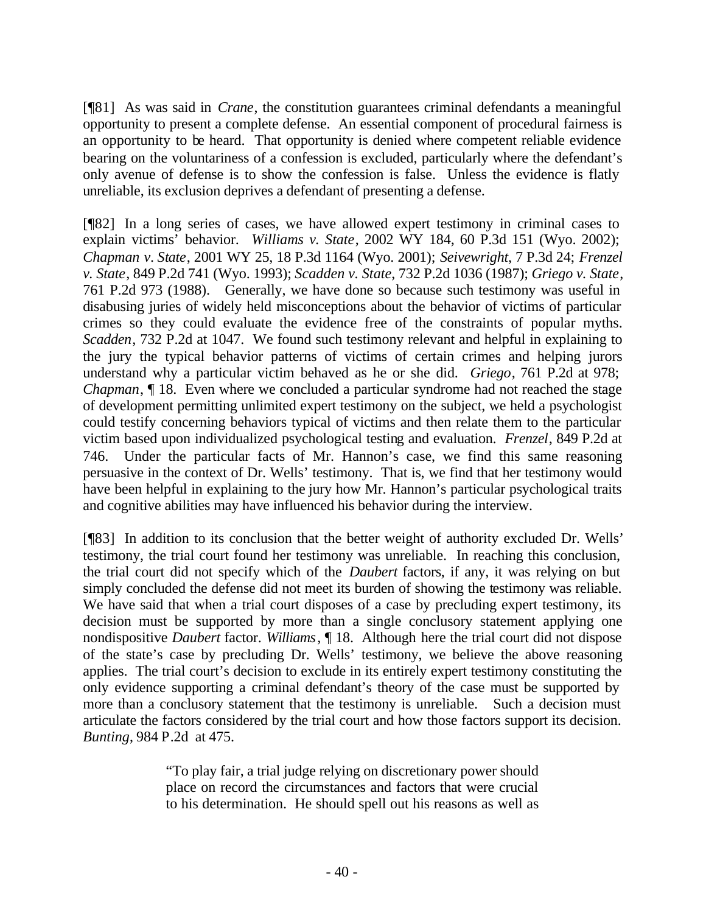[¶81] As was said in *Crane*, the constitution guarantees criminal defendants a meaningful opportunity to present a complete defense. An essential component of procedural fairness is an opportunity to be heard. That opportunity is denied where competent reliable evidence bearing on the voluntariness of a confession is excluded, particularly where the defendant's only avenue of defense is to show the confession is false. Unless the evidence is flatly unreliable, its exclusion deprives a defendant of presenting a defense.

[¶82] In a long series of cases, we have allowed expert testimony in criminal cases to explain victims' behavior. *Williams v. State*, 2002 WY 184, 60 P.3d 151 (Wyo. 2002); *Chapman v*. *State*, 2001 WY 25, 18 P.3d 1164 (Wyo. 2001); *Seivewright*, 7 P.3d 24; *Frenzel v. State*, 849 P.2d 741 (Wyo. 1993); *Scadden v. State*, 732 P.2d 1036 (1987); *Griego v. State*, 761 P.2d 973 (1988). Generally, we have done so because such testimony was useful in disabusing juries of widely held misconceptions about the behavior of victims of particular crimes so they could evaluate the evidence free of the constraints of popular myths. *Scadden*, 732 P.2d at 1047. We found such testimony relevant and helpful in explaining to the jury the typical behavior patterns of victims of certain crimes and helping jurors understand why a particular victim behaved as he or she did. *Griego*, 761 P.2d at 978; *Chapman*,  $\parallel$  18. Even where we concluded a particular syndrome had not reached the stage of development permitting unlimited expert testimony on the subject, we held a psychologist could testify concerning behaviors typical of victims and then relate them to the particular victim based upon individualized psychological testing and evaluation. *Frenzel*, 849 P.2d at 746. Under the particular facts of Mr. Hannon's case, we find this same reasoning persuasive in the context of Dr. Wells' testimony. That is, we find that her testimony would have been helpful in explaining to the jury how Mr. Hannon's particular psychological traits and cognitive abilities may have influenced his behavior during the interview.

[¶83] In addition to its conclusion that the better weight of authority excluded Dr. Wells' testimony, the trial court found her testimony was unreliable. In reaching this conclusion, the trial court did not specify which of the *Daubert* factors, if any, it was relying on but simply concluded the defense did not meet its burden of showing the testimony was reliable. We have said that when a trial court disposes of a case by precluding expert testimony, its decision must be supported by more than a single conclusory statement applying one nondispositive *Daubert* factor. *Williams*, ¶ 18. Although here the trial court did not dispose of the state's case by precluding Dr. Wells' testimony, we believe the above reasoning applies. The trial court's decision to exclude in its entirely expert testimony constituting the only evidence supporting a criminal defendant's theory of the case must be supported by more than a conclusory statement that the testimony is unreliable. Such a decision must articulate the factors considered by the trial court and how those factors support its decision. *Bunting*, 984 P.2d at 475.

> "To play fair, a trial judge relying on discretionary power should place on record the circumstances and factors that were crucial to his determination. He should spell out his reasons as well as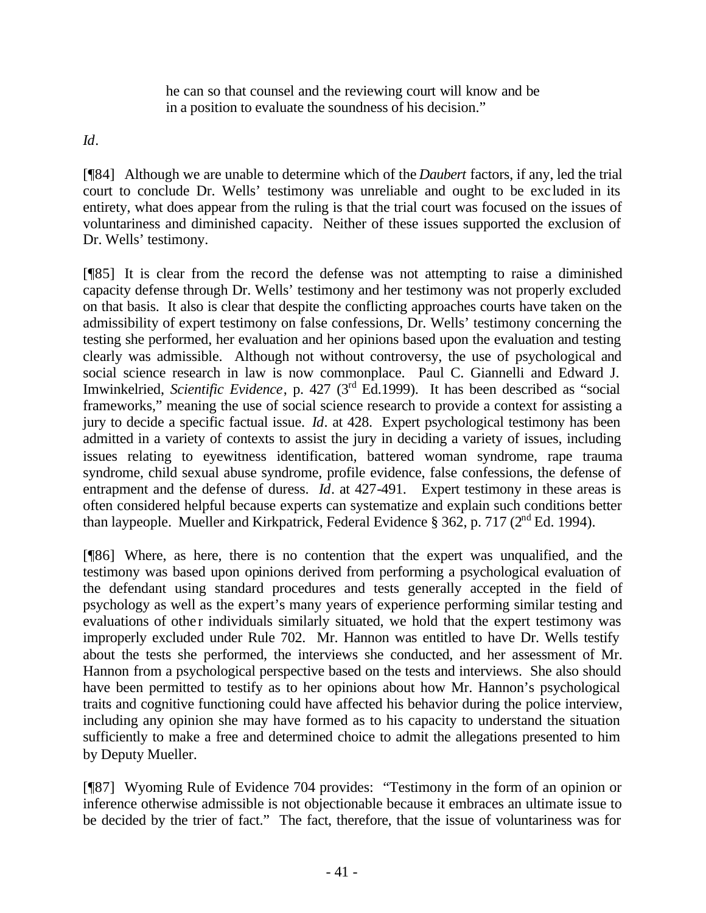he can so that counsel and the reviewing court will know and be in a position to evaluate the soundness of his decision."

*Id*.

[¶84] Although we are unable to determine which of the *Daubert* factors, if any, led the trial court to conclude Dr. Wells' testimony was unreliable and ought to be excluded in its entirety, what does appear from the ruling is that the trial court was focused on the issues of voluntariness and diminished capacity. Neither of these issues supported the exclusion of Dr. Wells' testimony.

[¶85] It is clear from the record the defense was not attempting to raise a diminished capacity defense through Dr. Wells' testimony and her testimony was not properly excluded on that basis. It also is clear that despite the conflicting approaches courts have taken on the admissibility of expert testimony on false confessions, Dr. Wells' testimony concerning the testing she performed, her evaluation and her opinions based upon the evaluation and testing clearly was admissible. Although not without controversy, the use of psychological and social science research in law is now commonplace. Paul C. Giannelli and Edward J. Imwinkelried, *Scientific Evidence*, p. 427 (3rd Ed.1999). It has been described as "social frameworks," meaning the use of social science research to provide a context for assisting a jury to decide a specific factual issue. *Id*. at 428. Expert psychological testimony has been admitted in a variety of contexts to assist the jury in deciding a variety of issues, including issues relating to eyewitness identification, battered woman syndrome, rape trauma syndrome, child sexual abuse syndrome, profile evidence, false confessions, the defense of entrapment and the defense of duress. *Id*. at 427-491. Expert testimony in these areas is often considered helpful because experts can systematize and explain such conditions better than laypeople. Mueller and Kirkpatrick, Federal Evidence §  $362$ , p. 717 ( $2<sup>nd</sup>$  Ed. 1994).

[¶86] Where, as here, there is no contention that the expert was unqualified, and the testimony was based upon opinions derived from performing a psychological evaluation of the defendant using standard procedures and tests generally accepted in the field of psychology as well as the expert's many years of experience performing similar testing and evaluations of other individuals similarly situated, we hold that the expert testimony was improperly excluded under Rule 702. Mr. Hannon was entitled to have Dr. Wells testify about the tests she performed, the interviews she conducted, and her assessment of Mr. Hannon from a psychological perspective based on the tests and interviews. She also should have been permitted to testify as to her opinions about how Mr. Hannon's psychological traits and cognitive functioning could have affected his behavior during the police interview, including any opinion she may have formed as to his capacity to understand the situation sufficiently to make a free and determined choice to admit the allegations presented to him by Deputy Mueller.

[¶87] Wyoming Rule of Evidence 704 provides: "Testimony in the form of an opinion or inference otherwise admissible is not objectionable because it embraces an ultimate issue to be decided by the trier of fact." The fact, therefore, that the issue of voluntariness was for